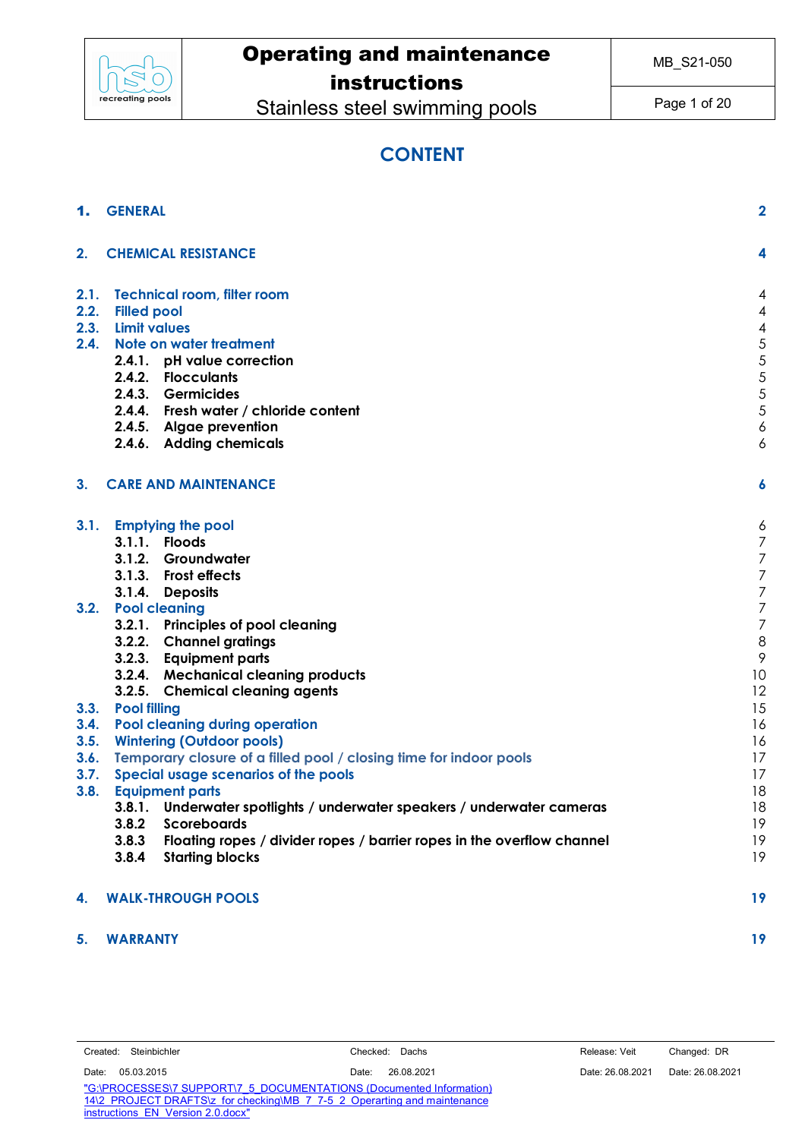

# Operating and maintenance

## instructions

Stainless steel swimming pools

Page 1 of 20

## **CONTENT**

|                | <b>GENERAL</b>                                                                                   | $\overline{2}$ |
|----------------|--------------------------------------------------------------------------------------------------|----------------|
| 2.             | <b>CHEMICAL RESISTANCE</b>                                                                       | 4              |
| 2.1.           | Technical room, filter room                                                                      | 4              |
| 2.2.           | <b>Filled pool</b>                                                                               | 4              |
|                | 2.3. Limit values                                                                                | 4              |
| 2.4.           | Note on water treatment                                                                          | 5              |
|                | 2.4.1. pH value correction                                                                       | 5              |
|                | 2.4.2. Flocculants                                                                               | 5              |
|                | 2.4.3. Germicides                                                                                | 5              |
|                | 2.4.4. Fresh water / chloride content                                                            | 5              |
|                | 2.4.5. Algae prevention                                                                          | 6              |
|                | 2.4.6. Adding chemicals                                                                          | 6              |
| 3 <sub>1</sub> | <b>CARE AND MAINTENANCE</b>                                                                      | 6              |
| 3.1.           | <b>Emptying the pool</b>                                                                         | 6              |
|                | 3.1.1. Floods                                                                                    | 7              |
|                | 3.1.2. Groundwater                                                                               | 7              |
|                | 3.1.3. Frost effects                                                                             | 7              |
|                | 3.1.4. Deposits                                                                                  | 7              |
| 3.2.           | <b>Pool cleaning</b>                                                                             | 7              |
|                | 3.2.1. Principles of pool cleaning                                                               | 7              |
|                | 3.2.2. Channel gratings                                                                          | 8              |
|                | 3.2.3. Equipment parts                                                                           | 9              |
|                | 3.2.4. Mechanical cleaning products                                                              | 10             |
|                | 3.2.5. Chemical cleaning agents                                                                  | 12             |
| 3.3.           | <b>Pool filling</b>                                                                              | 15             |
| 3.4.           | Pool cleaning during operation                                                                   | 16             |
| 3.5.           | <b>Wintering (Outdoor pools)</b>                                                                 | 16             |
| 3.6.           | Temporary closure of a filled pool / closing time for indoor pools                               | 17             |
| 3.7.           | Special usage scenarios of the pools                                                             | 17             |
| 3.8.           | <b>Equipment parts</b>                                                                           | 18             |
|                | Underwater spotlights / underwater speakers / underwater cameras<br>3.8.1.<br><b>Scoreboards</b> | 18<br>19       |
|                | 3.8.2<br>3.8.3<br>Floating ropes / divider ropes / barrier ropes in the overflow channel         | 19             |
|                | 3.8.4<br><b>Starting blocks</b>                                                                  | 19             |
| 4.             | <b>WALK-THROUGH POOLS</b>                                                                        | 19             |
| 5.             | <b>WARRANTY</b>                                                                                  | 19             |

| Created: | Steinbichler |
|----------|--------------|
|          |              |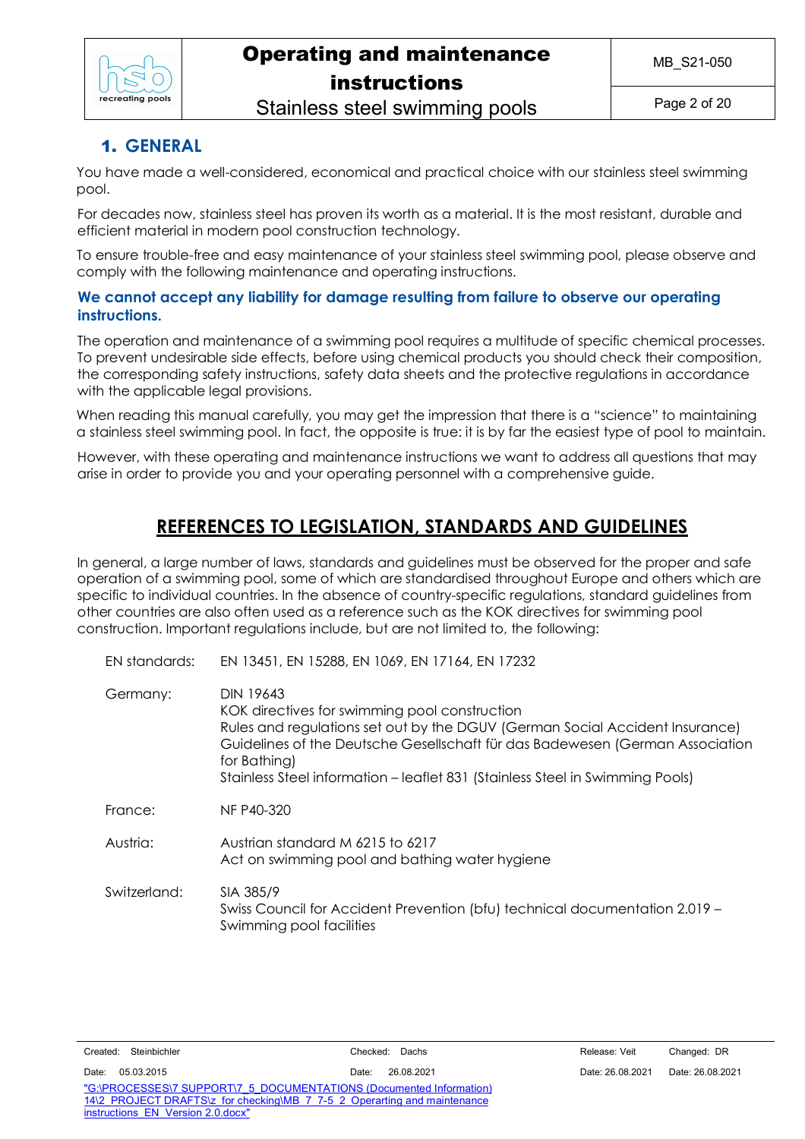

Stainless steel swimming pools

## 1. **GENERAL**

You have made a well-considered, economical and practical choice with our stainless steel swimming pool.

For decades now, stainless steel has proven its worth as a material. It is the most resistant, durable and efficient material in modern pool construction technology.

To ensure trouble-free and easy maintenance of your stainless steel swimming pool, please observe and comply with the following maintenance and operating instructions.

### **We cannot accept any liability for damage resulting from failure to observe our operating instructions.**

The operation and maintenance of a swimming pool requires a multitude of specific chemical processes. To prevent undesirable side effects, before using chemical products you should check their composition, the corresponding safety instructions, safety data sheets and the protective regulations in accordance with the applicable legal provisions.

When reading this manual carefully, you may get the impression that there is a "science" to maintaining a stainless steel swimming pool. In fact, the opposite is true: it is by far the easiest type of pool to maintain.

However, with these operating and maintenance instructions we want to address all questions that may arise in order to provide you and your operating personnel with a comprehensive guide.

## **REFERENCES TO LEGISLATION, STANDARDS AND GUIDELINES**

In general, a large number of laws, standards and guidelines must be observed for the proper and safe operation of a swimming pool, some of which are standardised throughout Europe and others which are specific to individual countries. In the absence of country-specific regulations, standard guidelines from other countries are also often used as a reference such as the KOK directives for swimming pool construction. Important regulations include, but are not limited to, the following:

| EN standards: | EN 13451, EN 15288, EN 1069, EN 17164, EN 17232                                                                                                                                                                                                                                                                                     |
|---------------|-------------------------------------------------------------------------------------------------------------------------------------------------------------------------------------------------------------------------------------------------------------------------------------------------------------------------------------|
| Germany:      | <b>DIN 19643</b><br>KOK directives for swimming pool construction<br>Rules and regulations set out by the DGUV (German Social Accident Insurance)<br>Guidelines of the Deutsche Gesellschaft für das Badewesen (German Association<br>for Bathing)<br>Stainless Steel information - leaflet 831 (Stainless Steel in Swimming Pools) |
| France:       | NF P40-320                                                                                                                                                                                                                                                                                                                          |
| Austria:      | Austrian standard M 6215 to 6217<br>Act on swimming pool and bathing water hygiene                                                                                                                                                                                                                                                  |
| Switzerland:  | SIA 385/9<br>Swiss Council for Accident Prevention (bfu) technical documentation 2.019 -<br>Swimming pool facilities                                                                                                                                                                                                                |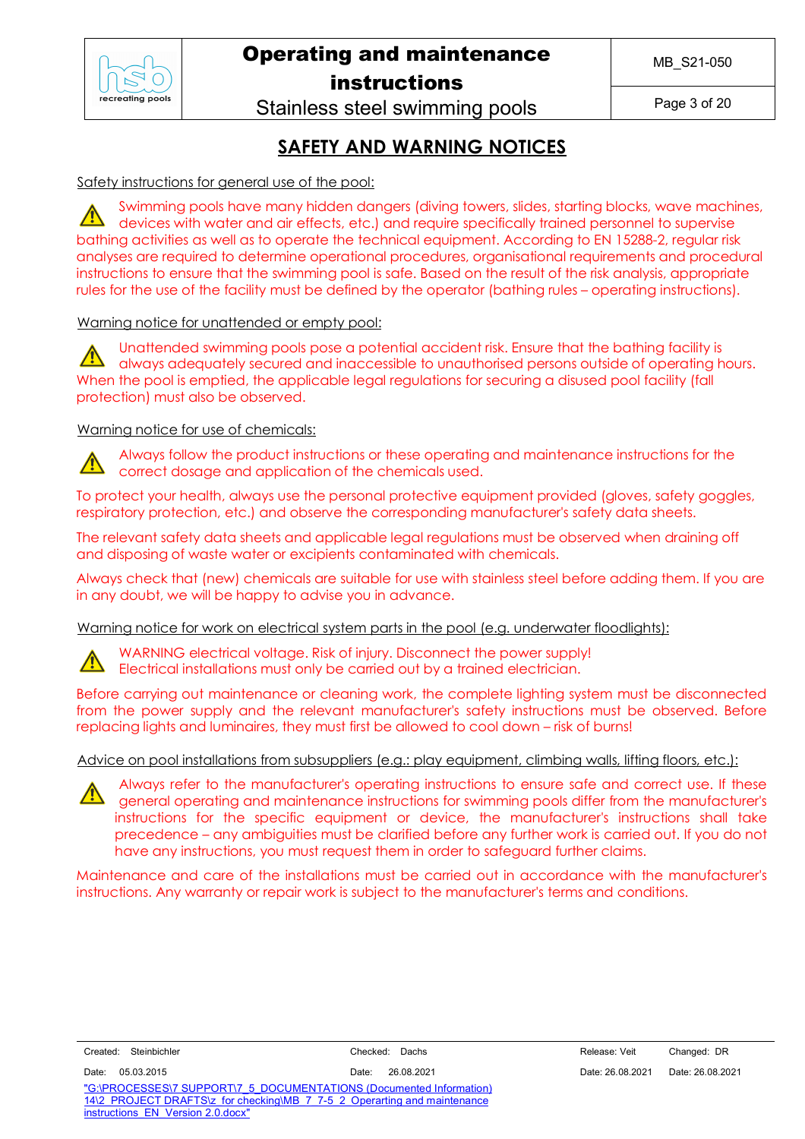

# Operating and maintenance

instructions

Stainless steel swimming pools

Page 3 of 20

## **SAFETY AND WARNING NOTICES**

Safety instructions for general use of the pool:

Swimming pools have many hidden dangers (diving towers, slides, starting blocks, wave machines, devices with water and air effects, etc.) and require specifically trained personnel to supervise bathing activities as well as to operate the technical equipment. According to EN 15288-2, regular risk analyses are required to determine operational procedures, organisational requirements and procedural instructions to ensure that the swimming pool is safe. Based on the result of the risk analysis, appropriate rules for the use of the facility must be defined by the operator (bathing rules – operating instructions).

### Warning notice for unattended or empty pool:

Unattended swimming pools pose a potential accident risk. Ensure that the bathing facility is always adequately secured and inaccessible to unauthorised persons outside of operating hours. When the pool is emptied, the applicable legal regulations for securing a disused pool facility (fall protection) must also be observed.

### Warning notice for use of chemicals:

Always follow the product instructions or these operating and maintenance instructions for the correct dosage and application of the chemicals used.

To protect your health, always use the personal protective equipment provided (gloves, safety goggles, respiratory protection, etc.) and observe the corresponding manufacturer's safety data sheets.

The relevant safety data sheets and applicable legal regulations must be observed when draining off and disposing of waste water or excipients contaminated with chemicals.

Always check that (new) chemicals are suitable for use with stainless steel before adding them. If you are in any doubt, we will be happy to advise you in advance.

Warning notice for work on electrical system parts in the pool (e.g. underwater floodlights):

WARNING electrical voltage. Risk of injury. Disconnect the power supply!

Electrical installations must only be carried out by a trained electrician.

Before carrying out maintenance or cleaning work, the complete lighting system must be disconnected from the power supply and the relevant manufacturer's safety instructions must be observed. Before replacing lights and luminaires, they must first be allowed to cool down – risk of burns!

#### Advice on pool installations from subsuppliers (e.g.: play equipment, climbing walls, lifting floors, etc.):



Always refer to the manufacturer's operating instructions to ensure safe and correct use. If these general operating and maintenance instructions for swimming pools differ from the manufacturer's instructions for the specific equipment or device, the manufacturer's instructions shall take precedence – any ambiguities must be clarified before any further work is carried out. If you do not have any instructions, you must request them in order to safeguard further claims.

Maintenance and care of the installations must be carried out in accordance with the manufacturer's instructions. Any warranty or repair work is subject to the manufacturer's terms and conditions.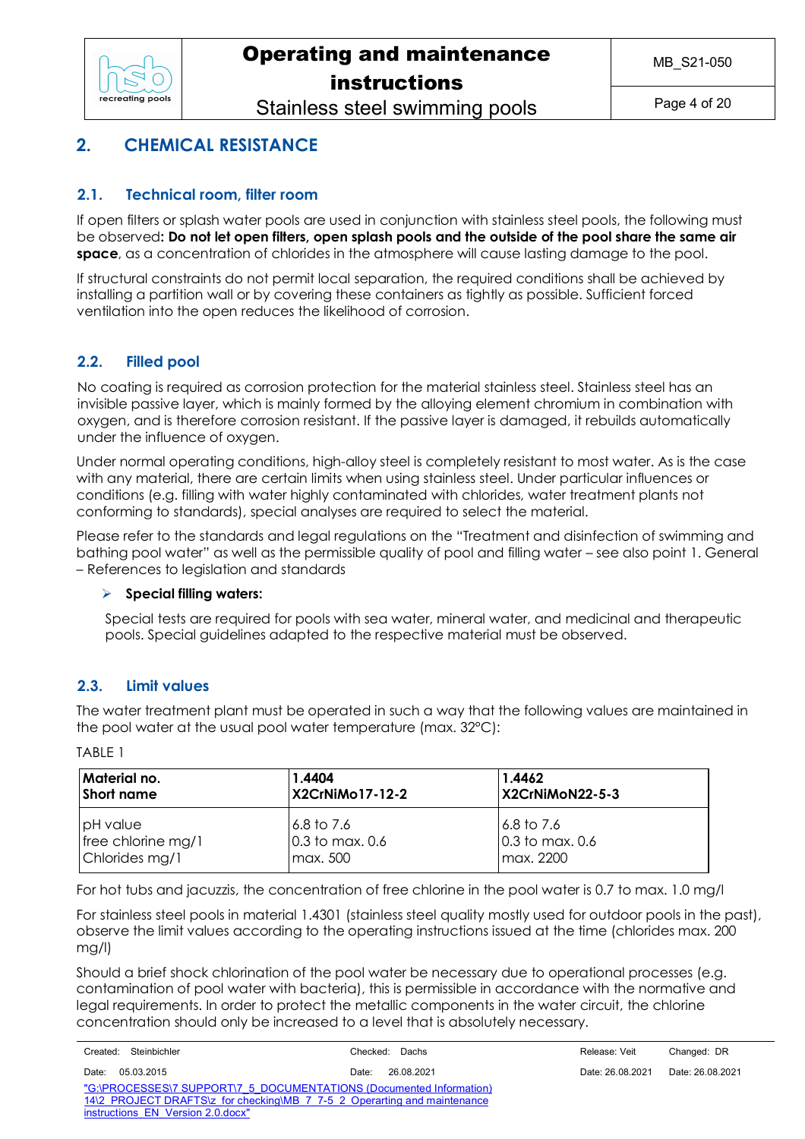

Stainless steel swimming pools

## **2. CHEMICAL RESISTANCE**

### **2.1. Technical room, filter room**

If open filters or splash water pools are used in conjunction with stainless steel pools, the following must be observed**: Do not let open filters, open splash pools and the outside of the pool share the same air space**, as a concentration of chlorides in the atmosphere will cause lasting damage to the pool.

If structural constraints do not permit local separation, the required conditions shall be achieved by installing a partition wall or by covering these containers as tightly as possible. Sufficient forced ventilation into the open reduces the likelihood of corrosion.

### **2.2. Filled pool**

No coating is required as corrosion protection for the material stainless steel. Stainless steel has an invisible passive layer, which is mainly formed by the alloying element chromium in combination with oxygen, and is therefore corrosion resistant. If the passive layer is damaged, it rebuilds automatically under the influence of oxygen.

Under normal operating conditions, high-alloy steel is completely resistant to most water. As is the case with any material, there are certain limits when using stainless steel. Under particular influences or conditions (e.g. filling with water highly contaminated with chlorides, water treatment plants not conforming to standards), special analyses are required to select the material.

Please refer to the standards and legal regulations on the "Treatment and disinfection of swimming and bathing pool water" as well as the permissible quality of pool and filling water – see also point 1. General – References to legislation and standards

### Ø **Special filling waters:**

Special tests are required for pools with sea water, mineral water, and medicinal and therapeutic pools. Special guidelines adapted to the respective material must be observed.

### **2.3. Limit values**

The water treatment plant must be operated in such a way that the following values are maintained in the pool water at the usual pool water temperature (max. 32°C):

TABLE 1

| Material no.       | 1.4404            | 1.4462          |
|--------------------|-------------------|-----------------|
| Short name         | X2CrNiMo17-12-2   | X2CrNiMoN22-5-3 |
| pH value           | 6.8 to 7.6        | 16.8 to 7.6     |
| free chlorine mg/1 | $0.3$ to max. 0.6 | 0.3 to max, 0.6 |
| Chlorides mg/1     | max. 500          | max. 2200       |

For hot tubs and jacuzzis, the concentration of free chlorine in the pool water is 0.7 to max. 1.0 mg/l

For stainless steel pools in material 1.4301 (stainless steel quality mostly used for outdoor pools in the past), observe the limit values according to the operating instructions issued at the time (chlorides max. 200 mg/l)

Should a brief shock chlorination of the pool water be necessary due to operational processes (e.g. contamination of pool water with bacteria), this is permissible in accordance with the normative and legal requirements. In order to protect the metallic components in the water circuit, the chlorine concentration should only be increased to a level that is absolutely necessary.

| Steinbichler<br>Created:                                                 | Checked: Dachs      | Release: Veit    | Changed: DR      |  |
|--------------------------------------------------------------------------|---------------------|------------------|------------------|--|
| 05.03.2015<br>Date:                                                      | 26.08.2021<br>Date: | Date: 26.08.2021 | Date: 26.08.2021 |  |
| "G:\PROCESSES\7 SUPPORT\7 5 DOCUMENTATIONS (Documented Information)      |                     |                  |                  |  |
| 14\2 PROJECT DRAFTS\z for checking\MB 7 7-5 2 Operarting and maintenance |                     |                  |                  |  |
| instructions EN Version 2.0.docx"                                        |                     |                  |                  |  |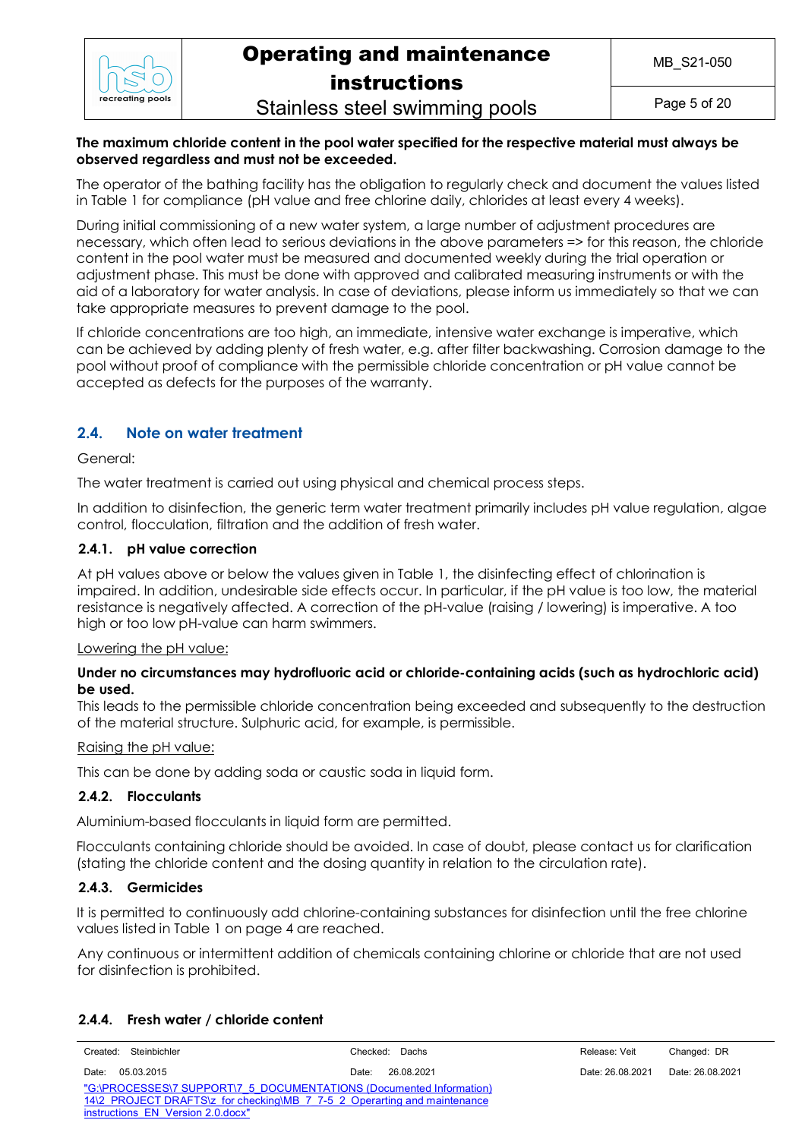

Stainless steel swimming pools

Page 5 of 20

#### **The maximum chloride content in the pool water specified for the respective material must always be observed regardless and must not be exceeded.**

The operator of the bathing facility has the obligation to regularly check and document the values listed in Table 1 for compliance (pH value and free chlorine daily, chlorides at least every 4 weeks).

During initial commissioning of a new water system, a large number of adjustment procedures are necessary, which often lead to serious deviations in the above parameters => for this reason, the chloride content in the pool water must be measured and documented weekly during the trial operation or adjustment phase. This must be done with approved and calibrated measuring instruments or with the aid of a laboratory for water analysis. In case of deviations, please inform us immediately so that we can take appropriate measures to prevent damage to the pool.

If chloride concentrations are too high, an immediate, intensive water exchange is imperative, which can be achieved by adding plenty of fresh water, e.g. after filter backwashing. Corrosion damage to the pool without proof of compliance with the permissible chloride concentration or pH value cannot be accepted as defects for the purposes of the warranty.

### **2.4. Note on water treatment**

#### General:

The water treatment is carried out using physical and chemical process steps.

In addition to disinfection, the generic term water treatment primarily includes pH value regulation, algae control, flocculation, filtration and the addition of fresh water.

### **2.4.1. pH value correction**

At pH values above or below the values given in Table 1, the disinfecting effect of chlorination is impaired. In addition, undesirable side effects occur. In particular, if the pH value is too low, the material resistance is negatively affected. A correction of the pH-value (raising / lowering) is imperative. A too high or too low pH-value can harm swimmers.

#### Lowering the pH value:

#### **Under no circumstances may hydrofluoric acid or chloride-containing acids (such as hydrochloric acid) be used.**

This leads to the permissible chloride concentration being exceeded and subsequently to the destruction of the material structure. Sulphuric acid, for example, is permissible.

#### Raising the pH value:

This can be done by adding soda or caustic soda in liquid form.

#### **2.4.2. Flocculants**

Aluminium-based flocculants in liquid form are permitted.

Flocculants containing chloride should be avoided. In case of doubt, please contact us for clarification (stating the chloride content and the dosing quantity in relation to the circulation rate).

#### **2.4.3. Germicides**

It is permitted to continuously add chlorine-containing substances for disinfection until the free chlorine values listed in Table 1 on page 4 are reached.

Any continuous or intermittent addition of chemicals containing chlorine or chloride that are not used for disinfection is prohibited.

### **2.4.4. Fresh water / chloride content**

| Created: Steinbichler                                                    | Checked: Dachs      | Release: Veit    | Changed: DR      |  |
|--------------------------------------------------------------------------|---------------------|------------------|------------------|--|
| 05.03.2015<br>Date:                                                      | 26.08.2021<br>Date: | Date: 26.08.2021 | Date: 26.08.2021 |  |
| "G:\PROCESSES\7 SUPPORT\7 5 DOCUMENTATIONS (Documented Information)      |                     |                  |                  |  |
| 14\2 PROJECT DRAFTS\z for checking\MB 7 7-5 2 Operarting and maintenance |                     |                  |                  |  |
| instructions FN Version 2.0 docx"                                        |                     |                  |                  |  |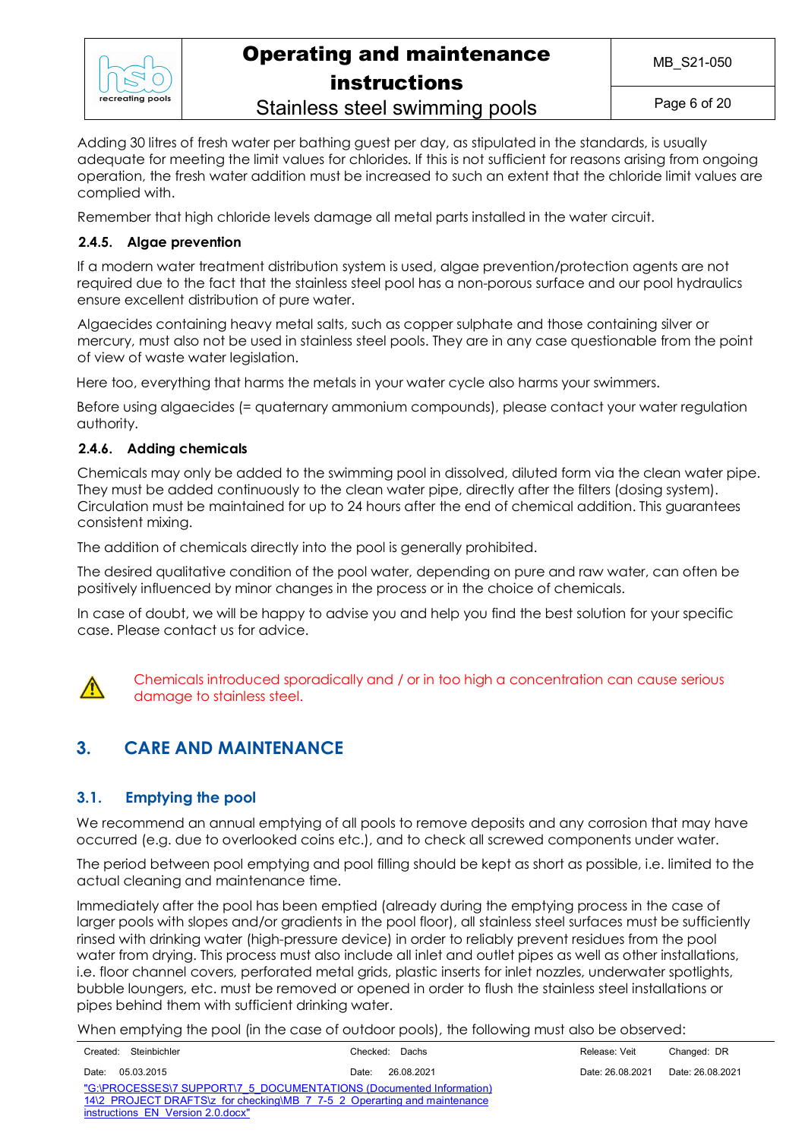

Stainless steel swimming pools

Page 6 of 20

Adding 30 litres of fresh water per bathing guest per day, as stipulated in the standards, is usually adequate for meeting the limit values for chlorides. If this is not sufficient for reasons arising from ongoing operation, the fresh water addition must be increased to such an extent that the chloride limit values are complied with.

Remember that high chloride levels damage all metal parts installed in the water circuit.

### **2.4.5. Algae prevention**

If a modern water treatment distribution system is used, algae prevention/protection agents are not required due to the fact that the stainless steel pool has a non-porous surface and our pool hydraulics ensure excellent distribution of pure water.

Algaecides containing heavy metal salts, such as copper sulphate and those containing silver or mercury, must also not be used in stainless steel pools. They are in any case questionable from the point of view of waste water legislation.

Here too, everything that harms the metals in your water cycle also harms your swimmers.

Before using algaecides (= quaternary ammonium compounds), please contact your water regulation authority.

### **2.4.6. Adding chemicals**

Chemicals may only be added to the swimming pool in dissolved, diluted form via the clean water pipe. They must be added continuously to the clean water pipe, directly after the filters (dosing system). Circulation must be maintained for up to 24 hours after the end of chemical addition. This guarantees consistent mixing.

The addition of chemicals directly into the pool is generally prohibited.

The desired qualitative condition of the pool water, depending on pure and raw water, can often be positively influenced by minor changes in the process or in the choice of chemicals.

In case of doubt, we will be happy to advise you and help you find the best solution for your specific case. Please contact us for advice.



Chemicals introduced sporadically and / or in too high a concentration can cause serious damage to stainless steel.

## **3. CARE AND MAINTENANCE**

### **3.1. Emptying the pool**

We recommend an annual emptying of all pools to remove deposits and any corrosion that may have occurred (e.g. due to overlooked coins etc.), and to check all screwed components under water.

The period between pool emptying and pool filling should be kept as short as possible, i.e. limited to the actual cleaning and maintenance time.

Immediately after the pool has been emptied (already during the emptying process in the case of larger pools with slopes and/or gradients in the pool floor), all stainless steel surfaces must be sufficiently rinsed with drinking water (high-pressure device) in order to reliably prevent residues from the pool water from drying. This process must also include all inlet and outlet pipes as well as other installations, i.e. floor channel covers, perforated metal grids, plastic inserts for inlet nozzles, underwater spotlights, bubble loungers, etc. must be removed or opened in order to flush the stainless steel installations or pipes behind them with sufficient drinking water.

When emptying the pool (in the case of outdoor pools), the following must also be observed:

|                                                                          | Created: Steinbichler                                               | Checked: Dachs      | Release: Veit    | Changed: DR      |  |
|--------------------------------------------------------------------------|---------------------------------------------------------------------|---------------------|------------------|------------------|--|
| Date:                                                                    | 05.03.2015                                                          | 26.08.2021<br>Date: | Date: 26.08.2021 | Date: 26.08.2021 |  |
|                                                                          | "G:\PROCESSES\7 SUPPORT\7 5 DOCUMENTATIONS (Documented Information) |                     |                  |                  |  |
| 14\2 PROJECT DRAFTS\z for checking\MB 7 7-5 2 Operarting and maintenance |                                                                     |                     |                  |                  |  |
| instructions EN Version 2.0.docx"                                        |                                                                     |                     |                  |                  |  |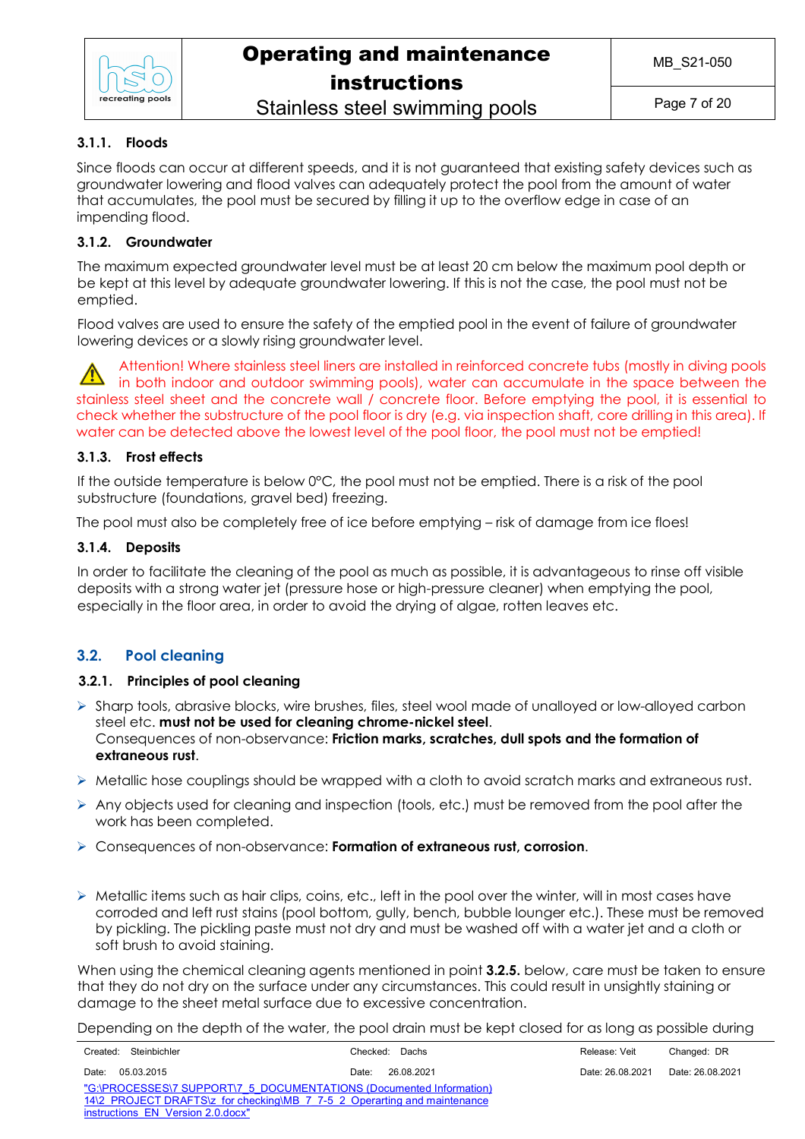

### **3.1.1. Floods**

Since floods can occur at different speeds, and it is not guaranteed that existing safety devices such as groundwater lowering and flood valves can adequately protect the pool from the amount of water that accumulates, the pool must be secured by filling it up to the overflow edge in case of an impending flood.

### **3.1.2. Groundwater**

The maximum expected groundwater level must be at least 20 cm below the maximum pool depth or be kept at this level by adequate groundwater lowering. If this is not the case, the pool must not be emptied.

Flood valves are used to ensure the safety of the emptied pool in the event of failure of groundwater lowering devices or a slowly rising groundwater level.

Attention! Where stainless steel liners are installed in reinforced concrete tubs (mostly in diving pools in both indoor and outdoor swimming pools), water can accumulate in the space between the stainless steel sheet and the concrete wall / concrete floor. Before emptying the pool, it is essential to check whether the substructure of the pool floor is dry (e.g. via inspection shaft, core drilling in this area). If water can be detected above the lowest level of the pool floor, the pool must not be emptied!

### **3.1.3. Frost effects**

If the outside temperature is below 0°C, the pool must not be emptied. There is a risk of the pool substructure (foundations, gravel bed) freezing.

The pool must also be completely free of ice before emptying – risk of damage from ice floes!

### **3.1.4. Deposits**

In order to facilitate the cleaning of the pool as much as possible, it is advantageous to rinse off visible deposits with a strong water jet (pressure hose or high-pressure cleaner) when emptying the pool, especially in the floor area, in order to avoid the drying of algae, rotten leaves etc.

### **3.2. Pool cleaning**

### **3.2.1. Principles of pool cleaning**

- $\triangleright$  Sharp tools, abrasive blocks, wire brushes, files, steel wool made of unalloyed or low-alloyed carbon steel etc. **must not be used for cleaning chrome-nickel steel**. Consequences of non-observance: **Friction marks, scratches, dull spots and the formation of extraneous rust**.
- $\triangleright$  Metallic hose couplings should be wrapped with a cloth to avoid scratch marks and extraneous rust.
- $\triangleright$  Any objects used for cleaning and inspection (tools, etc.) must be removed from the pool after the work has been completed.
- Ø Consequences of non-observance: **Formation of extraneous rust, corrosion**.
- $\triangleright$  Metallic items such as hair clips, coins, etc., left in the pool over the winter, will in most cases have corroded and left rust stains (pool bottom, gully, bench, bubble lounger etc.). These must be removed by pickling. The pickling paste must not dry and must be washed off with a water jet and a cloth or soft brush to avoid staining.

When using the chemical cleaning agents mentioned in point **3.2.5.** below, care must be taken to ensure that they do not dry on the surface under any circumstances. This could result in unsightly staining or damage to the sheet metal surface due to excessive concentration.

Depending on the depth of the water, the pool drain must be kept closed for as long as possible during

| Created: Steinbichler                                                    | Checked: Dachs      | Release: Veit    | Changed: DR      |  |
|--------------------------------------------------------------------------|---------------------|------------------|------------------|--|
| Date:<br>05.03.2015                                                      | 26.08.2021<br>Date: | Date: 26.08.2021 | Date: 26.08.2021 |  |
| "G:\PROCESSES\7 SUPPORT\7 5 DOCUMENTATIONS (Documented Information)      |                     |                  |                  |  |
| 14\2 PROJECT DRAFTS\z for checking\MB 7 7-5 2 Operarting and maintenance |                     |                  |                  |  |
| instructions EN Version 2.0.docx"                                        |                     |                  |                  |  |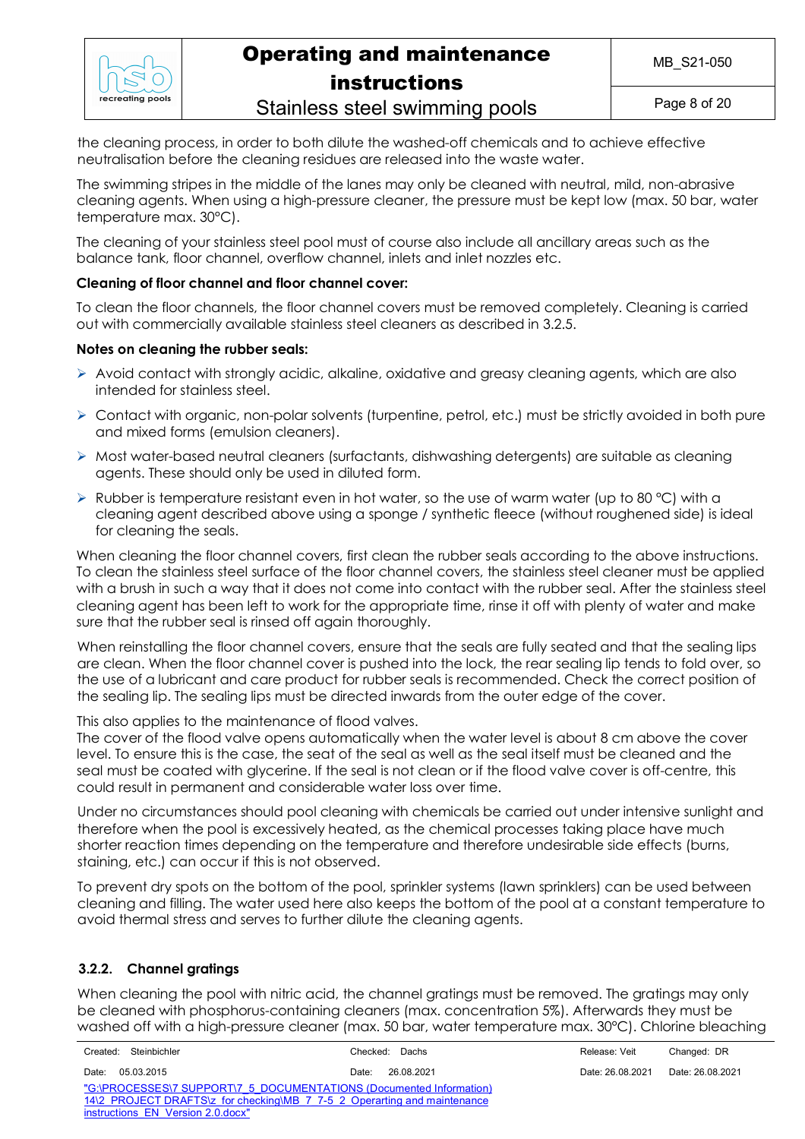

Page 8 of 20

Stainless steel swimming pools

the cleaning process, in order to both dilute the washed-off chemicals and to achieve effective neutralisation before the cleaning residues are released into the waste water.

The swimming stripes in the middle of the lanes may only be cleaned with neutral, mild, non-abrasive cleaning agents. When using a high-pressure cleaner, the pressure must be kept low (max. 50 bar, water temperature max. 30°C).

The cleaning of your stainless steel pool must of course also include all ancillary areas such as the balance tank, floor channel, overflow channel, inlets and inlet nozzles etc.

### **Cleaning of floor channel and floor channel cover:**

To clean the floor channels, the floor channel covers must be removed completely. Cleaning is carried out with commercially available stainless steel cleaners as described in 3.2.5.

### **Notes on cleaning the rubber seals:**

- $\triangleright$  Avoid contact with strongly acidic, alkaline, oxidative and greasy cleaning agents, which are also intended for stainless steel.
- $\triangleright$  Contact with organic, non-polar solvents (turpentine, petrol, etc.) must be strictly avoided in both pure and mixed forms (emulsion cleaners).
- $\triangleright$  Most water-based neutral cleaners (surfactants, dishwashing detergents) are suitable as cleaning agents. These should only be used in diluted form.
- $\triangleright$  Rubber is temperature resistant even in hot water, so the use of warm water (up to 80 °C) with a cleaning agent described above using a sponge / synthetic fleece (without roughened side) is ideal for cleaning the seals.

When cleaning the floor channel covers, first clean the rubber seals according to the above instructions. To clean the stainless steel surface of the floor channel covers, the stainless steel cleaner must be applied with a brush in such a way that it does not come into contact with the rubber seal. After the stainless steel cleaning agent has been left to work for the appropriate time, rinse it off with plenty of water and make sure that the rubber seal is rinsed off again thoroughly.

When reinstalling the floor channel covers, ensure that the seals are fully seated and that the sealing lips are clean. When the floor channel cover is pushed into the lock, the rear sealing lip tends to fold over, so the use of a lubricant and care product for rubber seals is recommended. Check the correct position of the sealing lip. The sealing lips must be directed inwards from the outer edge of the cover.

This also applies to the maintenance of flood valves.

The cover of the flood valve opens automatically when the water level is about 8 cm above the cover level. To ensure this is the case, the seat of the seal as well as the seal itself must be cleaned and the seal must be coated with glycerine. If the seal is not clean or if the flood valve cover is off-centre, this could result in permanent and considerable water loss over time.

Under no circumstances should pool cleaning with chemicals be carried out under intensive sunlight and therefore when the pool is excessively heated, as the chemical processes taking place have much shorter reaction times depending on the temperature and therefore undesirable side effects (burns, staining, etc.) can occur if this is not observed.

To prevent dry spots on the bottom of the pool, sprinkler systems (lawn sprinklers) can be used between cleaning and filling. The water used here also keeps the bottom of the pool at a constant temperature to avoid thermal stress and serves to further dilute the cleaning agents.

### **3.2.2. Channel gratings**

When cleaning the pool with nitric acid, the channel gratings must be removed. The gratings may only be cleaned with phosphorus-containing cleaners (max. concentration 5%). Afterwards they must be washed off with a high-pressure cleaner (max. 50 bar, water temperature max. 30°C). Chlorine bleaching

| Created: Steinbichler                                                    | Checked: Dachs      | Release: Veit    | Changed: DR      |  |
|--------------------------------------------------------------------------|---------------------|------------------|------------------|--|
| 05.03.2015<br>Date:                                                      | 26.08.2021<br>Date: | Date: 26.08.2021 | Date: 26.08.2021 |  |
| "G:\PROCESSES\7 SUPPORT\7 5 DOCUMENTATIONS (Documented Information)      |                     |                  |                  |  |
| 14\2 PROJECT DRAFTS\z for checking\MB 7 7-5 2 Operarting and maintenance |                     |                  |                  |  |
| instructions EN Version 2.0.docx"                                        |                     |                  |                  |  |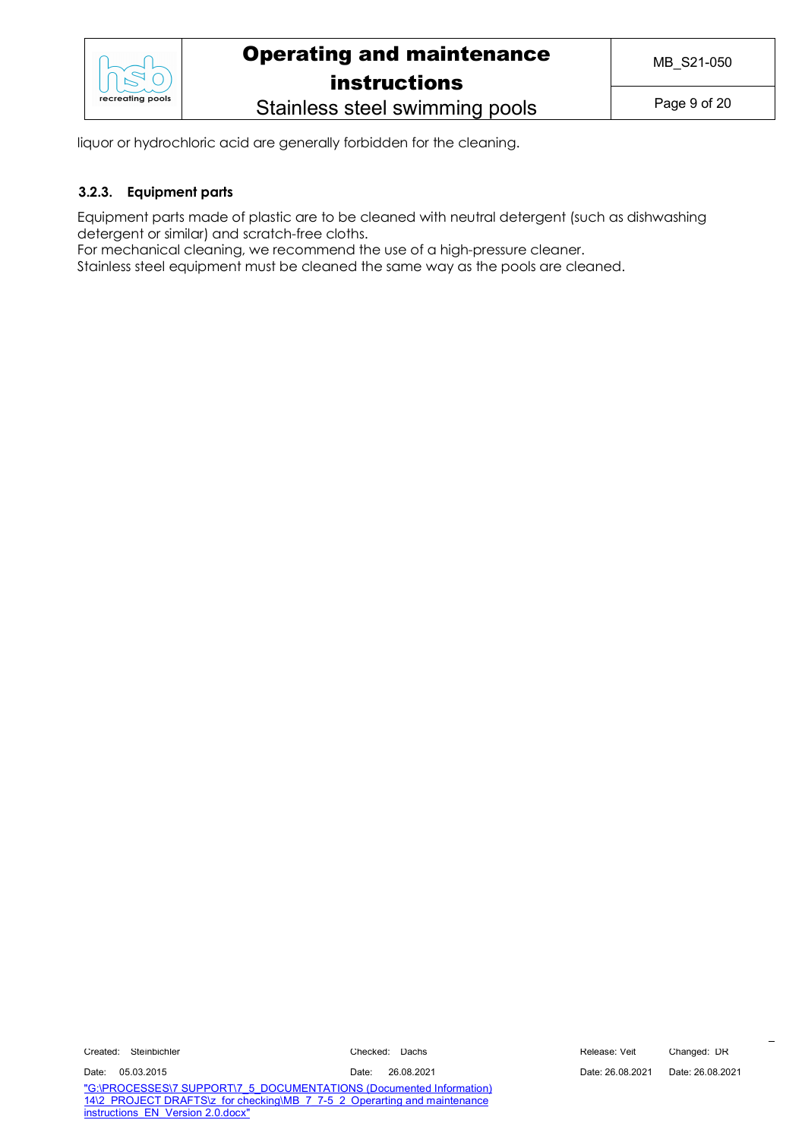

Stainless steel swimming pools

liquor or hydrochloric acid are generally forbidden for the cleaning.

### **3.2.3. Equipment parts**

Equipment parts made of plastic are to be cleaned with neutral detergent (such as dishwashing detergent or similar) and scratch-free cloths.

For mechanical cleaning, we recommend the use of a high-pressure cleaner.

Stainless steel equipment must be cleaned the same way as the pools are cleaned.

Created: Steinbichler Checked: Dachs Release: Veit Changed: DR

Date: 05.03.2015 Date: 26.08.2021 Date: 26.08.2021 Date: 26.08.2021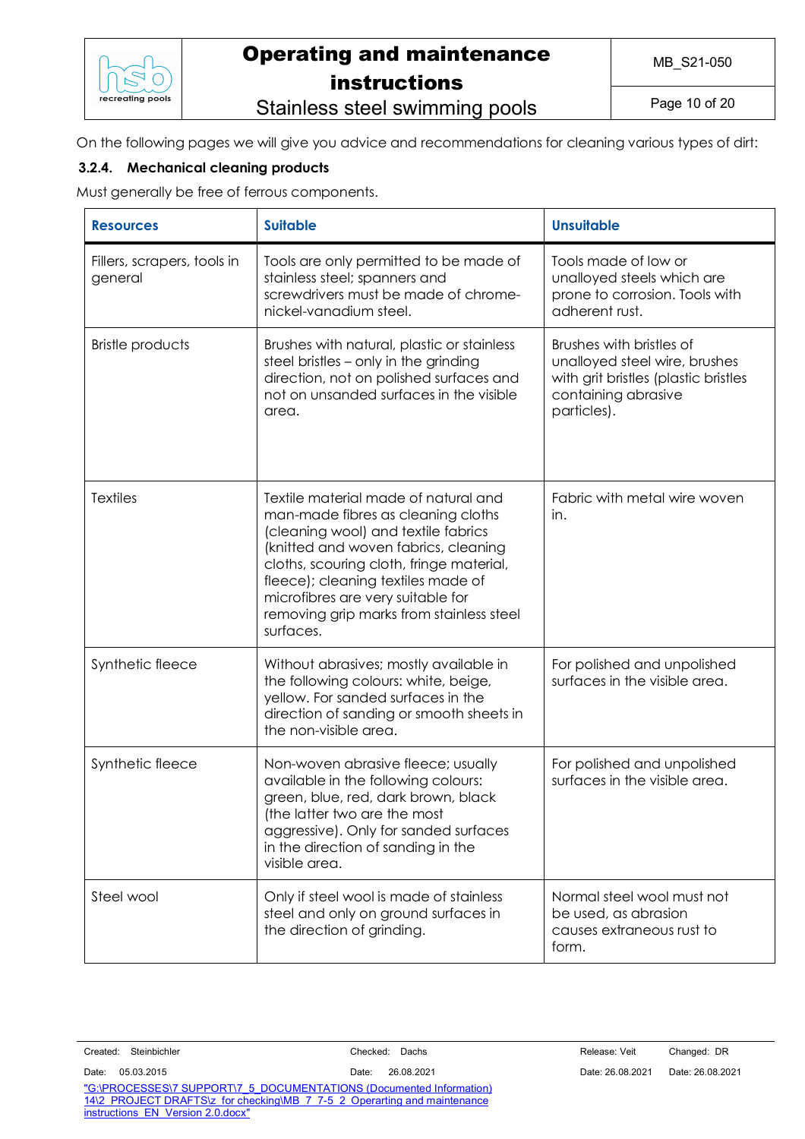

# Stainless steel swimming pools

Page 10 of 20

On the following pages we will give you advice and recommendations for cleaning various types of dirt:

### **3.2.4. Mechanical cleaning products**

Must generally be free of ferrous components.

| <b>Resources</b>                       | <b>Suitable</b>                                                                                                                                                                                                                                                                                                                           | <b>Unsuitable</b>                                                                                                                       |
|----------------------------------------|-------------------------------------------------------------------------------------------------------------------------------------------------------------------------------------------------------------------------------------------------------------------------------------------------------------------------------------------|-----------------------------------------------------------------------------------------------------------------------------------------|
| Fillers, scrapers, tools in<br>general | Tools are only permitted to be made of<br>stainless steel; spanners and<br>screwdrivers must be made of chrome-<br>nickel-vanadium steel.                                                                                                                                                                                                 | Tools made of low or<br>unalloyed steels which are<br>prone to corrosion. Tools with<br>adherent rust.                                  |
| <b>Bristle products</b>                | Brushes with natural, plastic or stainless<br>steel bristles - only in the grinding<br>direction, not on polished surfaces and<br>not on unsanded surfaces in the visible<br>area.                                                                                                                                                        | Brushes with bristles of<br>unalloyed steel wire, brushes<br>with grit bristles (plastic bristles<br>containing abrasive<br>particles). |
| <b>Textiles</b>                        | Textile material made of natural and<br>man-made fibres as cleaning cloths<br>(cleaning wool) and textile fabrics<br>(knitted and woven fabrics, cleaning<br>cloths, scouring cloth, fringe material,<br>fleece); cleaning textiles made of<br>microfibres are very suitable for<br>removing grip marks from stainless steel<br>surfaces. | Fabric with metal wire woven<br>in.                                                                                                     |
| Synthetic fleece                       | Without abrasives; mostly available in<br>the following colours: white, beige,<br>yellow. For sanded surfaces in the<br>direction of sanding or smooth sheets in<br>the non-visible area.                                                                                                                                                 | For polished and unpolished<br>surfaces in the visible area.                                                                            |
| Synthetic fleece                       | Non-woven abrasive fleece; usually<br>available in the following colours:<br>green, blue, red, dark brown, black<br>(the latter two are the most<br>aggressive). Only for sanded surfaces<br>in the direction of sanding in the<br>visible area.                                                                                          | For polished and unpolished<br>surfaces in the visible area.                                                                            |
| Steel wool                             | Only if steel wool is made of stainless<br>steel and only on ground surfaces in<br>the direction of grinding.                                                                                                                                                                                                                             | Normal steel wool must not<br>be used, as abrasion<br>causes extraneous rust to<br>form.                                                |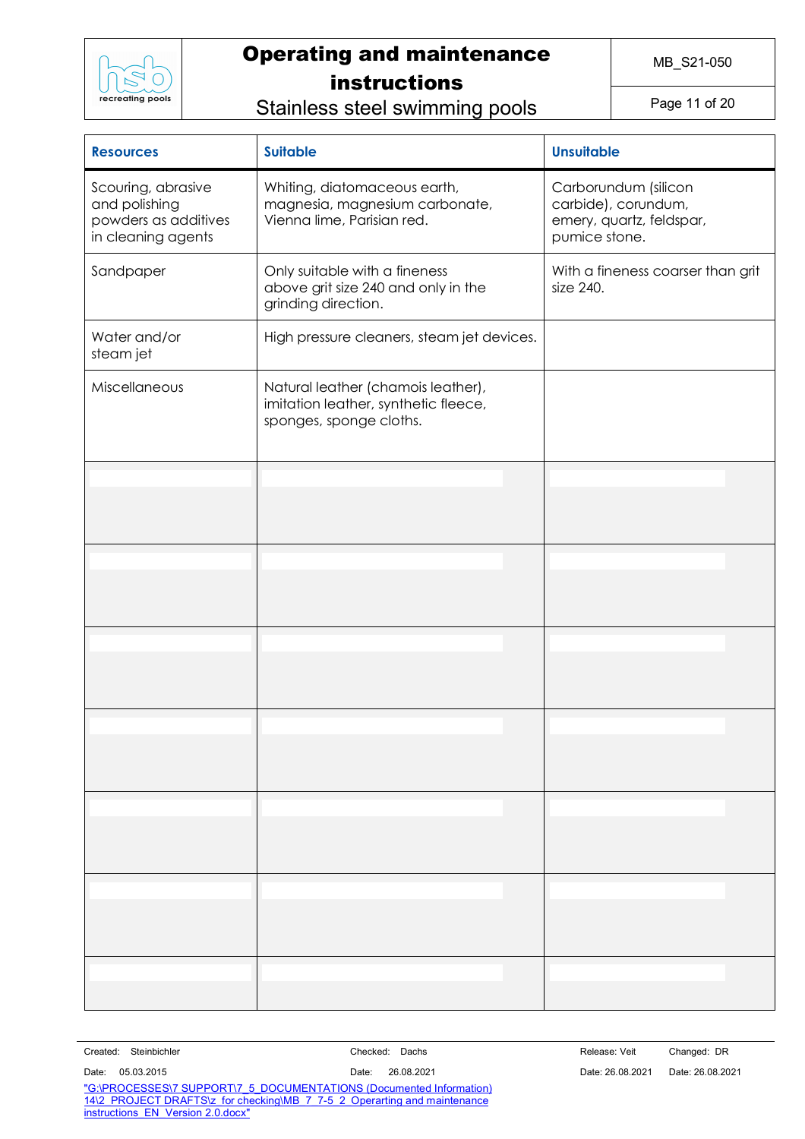

MB\_S21-050

Stainless steel swimming pools

Page 11 of 20

| <b>Suitable</b><br><b>Resources</b>                                               |                                                                                                       | <b>Unsuitable</b>                                                                        |
|-----------------------------------------------------------------------------------|-------------------------------------------------------------------------------------------------------|------------------------------------------------------------------------------------------|
| Scouring, abrasive<br>and polishing<br>powders as additives<br>in cleaning agents | Whiting, diatomaceous earth,<br>magnesia, magnesium carbonate,<br>Vienna lime, Parisian red.          | Carborundum (silicon<br>carbide), corundum,<br>emery, quartz, feldspar,<br>pumice stone. |
| Sandpaper                                                                         | Only suitable with a fineness<br>above grit size 240 and only in the<br>grinding direction.           | With a fineness coarser than grit<br>size 240.                                           |
| Water and/or<br>steam jet                                                         | High pressure cleaners, steam jet devices.                                                            |                                                                                          |
| Miscellaneous                                                                     | Natural leather (chamois leather),<br>imitation leather, synthetic fleece,<br>sponges, sponge cloths. |                                                                                          |
|                                                                                   |                                                                                                       |                                                                                          |
|                                                                                   |                                                                                                       |                                                                                          |
|                                                                                   |                                                                                                       |                                                                                          |
|                                                                                   |                                                                                                       |                                                                                          |
|                                                                                   |                                                                                                       |                                                                                          |
|                                                                                   |                                                                                                       |                                                                                          |
|                                                                                   |                                                                                                       |                                                                                          |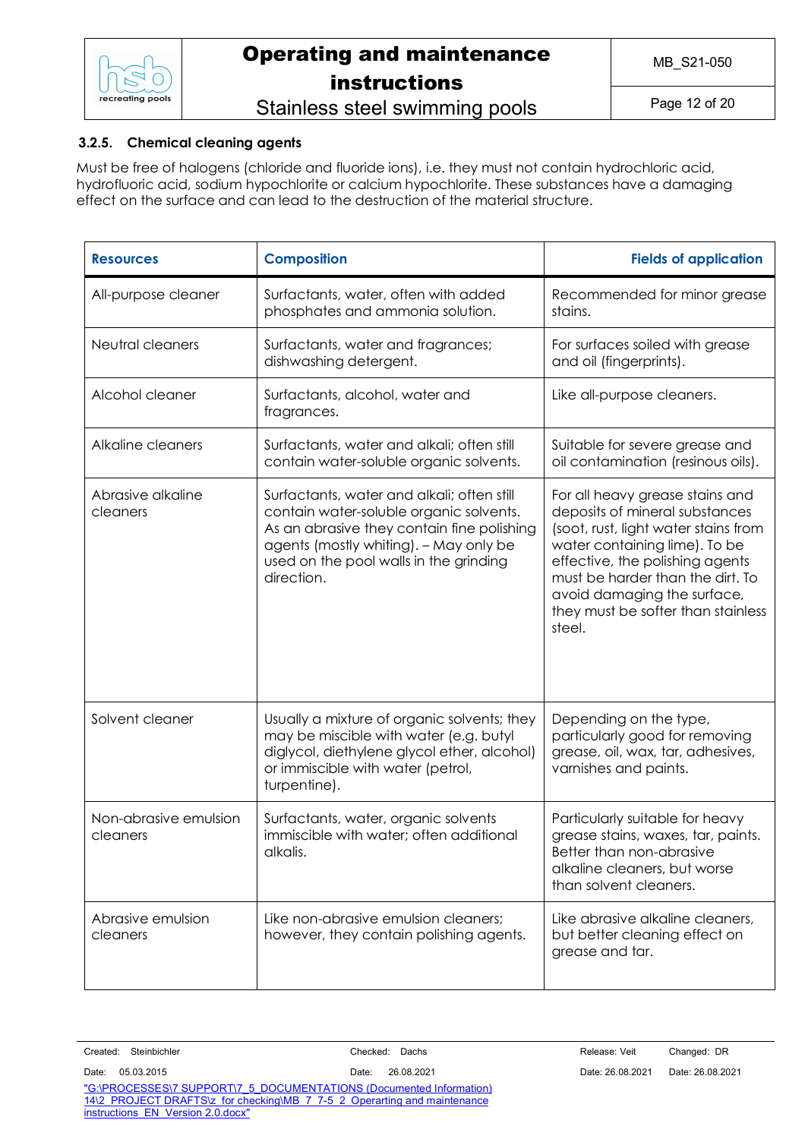

## Stainless steel swimming pools

### **3.2.5. Chemical cleaning agents**

Must be free of halogens (chloride and fluoride ions), i.e. they must not contain hydrochloric acid, hydrofluoric acid, sodium hypochlorite or calcium hypochlorite. These substances have a damaging effect on the surface and can lead to the destruction of the material structure.

| <b>Resources</b>                  | <b>Composition</b>                                                                                                                                                                                                                    | <b>Fields of application</b>                                                                                                                                                                                                                                                                     |
|-----------------------------------|---------------------------------------------------------------------------------------------------------------------------------------------------------------------------------------------------------------------------------------|--------------------------------------------------------------------------------------------------------------------------------------------------------------------------------------------------------------------------------------------------------------------------------------------------|
| All-purpose cleaner               | Surfactants, water, often with added<br>phosphates and ammonia solution.                                                                                                                                                              | Recommended for minor grease<br>stains.                                                                                                                                                                                                                                                          |
| Neutral cleaners                  | Surfactants, water and fragrances;<br>dishwashing detergent.                                                                                                                                                                          | For surfaces soiled with grease<br>and oil (fingerprints).                                                                                                                                                                                                                                       |
| Alcohol cleaner                   | Surfactants, alcohol, water and<br>fragrances.                                                                                                                                                                                        | Like all-purpose cleaners.                                                                                                                                                                                                                                                                       |
| Alkaline cleaners                 | Surfactants, water and alkali; often still<br>contain water-soluble organic solvents.                                                                                                                                                 | Suitable for severe grease and<br>oil contamination (resinous oils).                                                                                                                                                                                                                             |
| Abrasive alkaline<br>cleaners     | Surfactants, water and alkali; often still<br>contain water-soluble organic solvents.<br>As an abrasive they contain fine polishing<br>agents (mostly whiting). - May only be<br>used on the pool walls in the grinding<br>direction. | For all heavy grease stains and<br>deposits of mineral substances<br>(soot, rust, light water stains from<br>water containing lime). To be<br>effective, the polishing agents<br>must be harder than the dirt. To<br>avoid damaging the surface,<br>they must be softer than stainless<br>steel. |
| Solvent cleaner                   | Usually a mixture of organic solvents; they<br>may be miscible with water (e.g. butyl<br>diglycol, diethylene glycol ether, alcohol)<br>or immiscible with water (petrol,<br>turpentine).                                             | Depending on the type,<br>particularly good for removing<br>grease, oil, wax, tar, adhesives,<br>varnishes and paints.                                                                                                                                                                           |
| Non-abrasive emulsion<br>cleaners | Surfactants, water, organic solvents<br>immiscible with water; often additional<br>alkalis.                                                                                                                                           | Particularly suitable for heavy<br>grease stains, waxes, tar, paints.<br>Better than non-abrasive<br>alkaline cleaners, but worse<br>than solvent cleaners.                                                                                                                                      |
| Abrasive emulsion<br>cleaners     | Like non-abrasive emulsion cleaners:<br>however, they contain polishing agents.                                                                                                                                                       | Like abrasive alkaline cleaners,<br>but better cleaning effect on<br>grease and tar.                                                                                                                                                                                                             |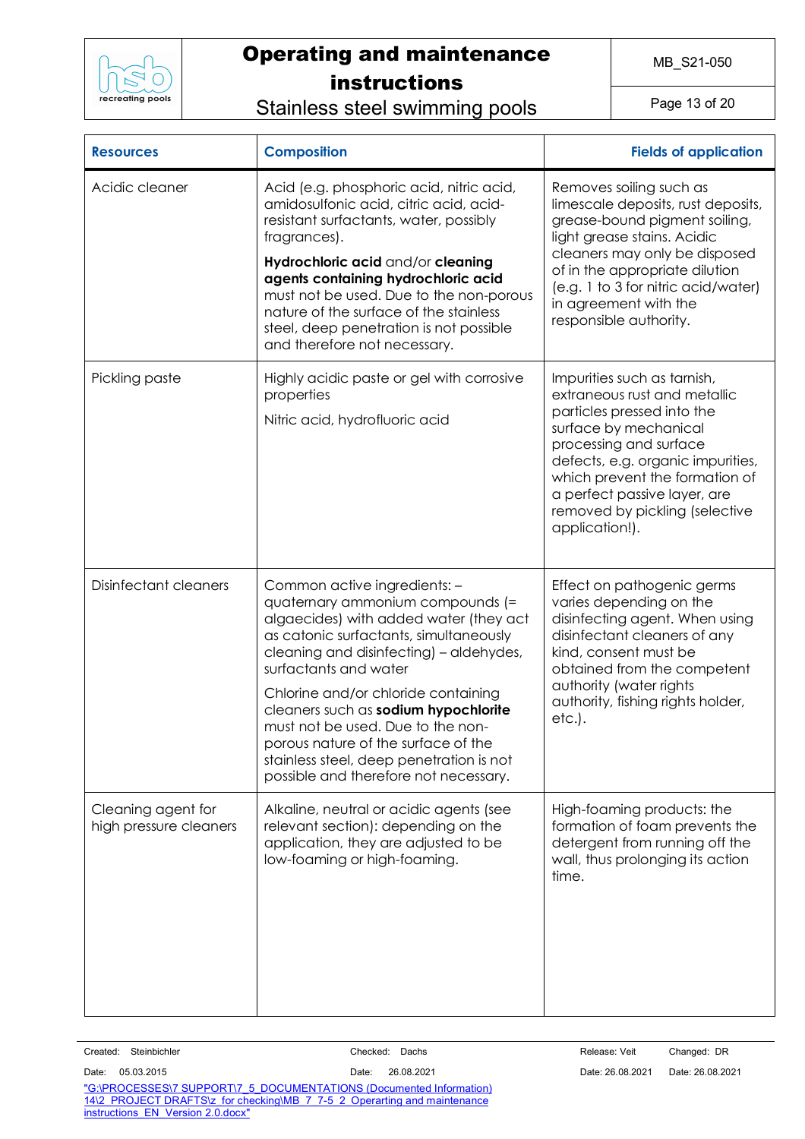

Stainless steel swimming pools

Page 13 of 20

| <b>Resources</b>                             | <b>Composition</b>                                                                                                                                                                                                                                                                                                                                                                                                                                                       | <b>Fields of application</b>                                                                                                                                                                                                                                                                            |
|----------------------------------------------|--------------------------------------------------------------------------------------------------------------------------------------------------------------------------------------------------------------------------------------------------------------------------------------------------------------------------------------------------------------------------------------------------------------------------------------------------------------------------|---------------------------------------------------------------------------------------------------------------------------------------------------------------------------------------------------------------------------------------------------------------------------------------------------------|
| Acidic cleaner                               | Acid (e.g. phosphoric acid, nitric acid,<br>amidosulfonic acid, citric acid, acid-<br>resistant surfactants, water, possibly<br>fragrances).<br>Hydrochloric acid and/or cleaning<br>agents containing hydrochloric acid<br>must not be used. Due to the non-porous<br>nature of the surface of the stainless<br>steel, deep penetration is not possible<br>and therefore not necessary.                                                                                 | Removes soiling such as<br>limescale deposits, rust deposits,<br>grease-bound pigment soiling,<br>light grease stains. Acidic<br>cleaners may only be disposed<br>of in the appropriate dilution<br>(e.g. 1 to 3 for nitric acid/water)<br>in agreement with the<br>responsible authority.              |
| Pickling paste                               | Highly acidic paste or gel with corrosive<br>properties<br>Nitric acid, hydrofluoric acid                                                                                                                                                                                                                                                                                                                                                                                | Impurities such as tarnish,<br>extraneous rust and metallic<br>particles pressed into the<br>surface by mechanical<br>processing and surface<br>defects, e.g. organic impurities,<br>which prevent the formation of<br>a perfect passive layer, are<br>removed by pickling (selective<br>application!). |
| Disinfectant cleaners                        | Common active ingredients: -<br>quaternary ammonium compounds (=<br>algaecides) with added water (they act<br>as catonic surfactants, simultaneously<br>cleaning and disinfecting) - aldehydes,<br>surfactants and water<br>Chlorine and/or chloride containing<br>cleaners such as sodium hypochlorite<br>must not be used. Due to the non-<br>porous nature of the surface of the<br>stainless steel, deep penetration is not<br>possible and therefore not necessary. | Effect on pathogenic germs<br>varies depending on the<br>disinfecting agent. When using<br>disinfectant cleaners of any<br>kind, consent must be<br>obtained from the competent<br>authority (water rights<br>authority, fishing rights holder,<br>$etc.$ ).                                            |
| Cleaning agent for<br>high pressure cleaners | Alkaline, neutral or acidic agents (see<br>relevant section): depending on the<br>application, they are adjusted to be<br>low-foaming or high-foaming.                                                                                                                                                                                                                                                                                                                   | High-foaming products: the<br>formation of foam prevents the<br>detergent from running off the<br>wall, thus prolonging its action<br>time.                                                                                                                                                             |

| Created: | Steinbichler |
|----------|--------------|
|          |              |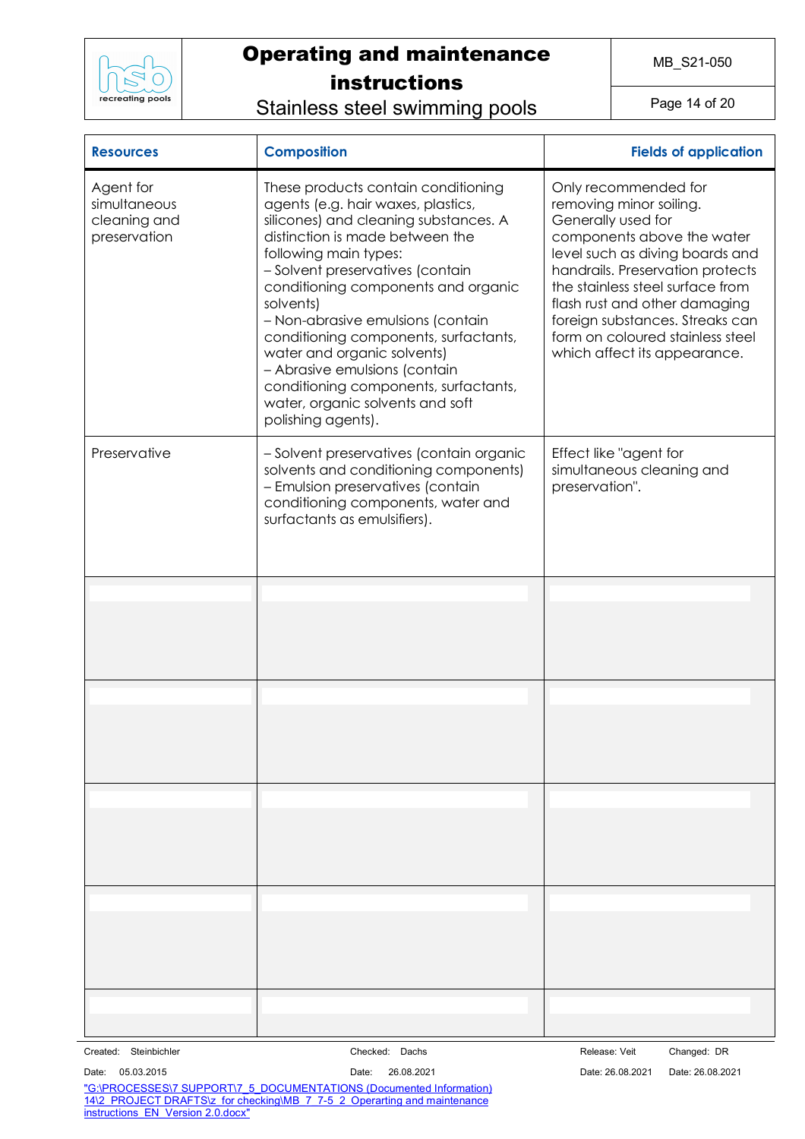

Stainless steel swimming pools

Page 14 of 20

| <b>Resources</b>                                          | <b>Composition</b>                                                                                                                                                                                                                                                                                                                                                                                                                                                                                                      | <b>Fields of application</b>                                                                                                                                                                                                                                                                                                                           |
|-----------------------------------------------------------|-------------------------------------------------------------------------------------------------------------------------------------------------------------------------------------------------------------------------------------------------------------------------------------------------------------------------------------------------------------------------------------------------------------------------------------------------------------------------------------------------------------------------|--------------------------------------------------------------------------------------------------------------------------------------------------------------------------------------------------------------------------------------------------------------------------------------------------------------------------------------------------------|
| Agent for<br>simultaneous<br>cleaning and<br>preservation | These products contain conditioning<br>agents (e.g. hair waxes, plastics,<br>silicones) and cleaning substances. A<br>distinction is made between the<br>following main types:<br>- Solvent preservatives (contain<br>conditioning components and organic<br>solvents)<br>- Non-abrasive emulsions (contain<br>conditioning components, surfactants,<br>water and organic solvents)<br>- Abrasive emulsions (contain<br>conditioning components, surfactants,<br>water, organic solvents and soft<br>polishing agents). | Only recommended for<br>removing minor soiling.<br>Generally used for<br>components above the water<br>level such as diving boards and<br>handrails. Preservation protects<br>the stainless steel surface from<br>flash rust and other damaging<br>foreign substances. Streaks can<br>form on coloured stainless steel<br>which affect its appearance. |
| Preservative                                              | - Solvent preservatives (contain organic<br>solvents and conditioning components)<br>- Emulsion preservatives (contain<br>conditioning components, water and<br>surfactants as emulsifiers).                                                                                                                                                                                                                                                                                                                            | Effect like "agent for<br>simultaneous cleaning and<br>preservation".                                                                                                                                                                                                                                                                                  |
|                                                           |                                                                                                                                                                                                                                                                                                                                                                                                                                                                                                                         |                                                                                                                                                                                                                                                                                                                                                        |
|                                                           |                                                                                                                                                                                                                                                                                                                                                                                                                                                                                                                         |                                                                                                                                                                                                                                                                                                                                                        |
|                                                           |                                                                                                                                                                                                                                                                                                                                                                                                                                                                                                                         |                                                                                                                                                                                                                                                                                                                                                        |
|                                                           |                                                                                                                                                                                                                                                                                                                                                                                                                                                                                                                         |                                                                                                                                                                                                                                                                                                                                                        |
|                                                           |                                                                                                                                                                                                                                                                                                                                                                                                                                                                                                                         |                                                                                                                                                                                                                                                                                                                                                        |
|                                                           |                                                                                                                                                                                                                                                                                                                                                                                                                                                                                                                         |                                                                                                                                                                                                                                                                                                                                                        |
|                                                           |                                                                                                                                                                                                                                                                                                                                                                                                                                                                                                                         |                                                                                                                                                                                                                                                                                                                                                        |
|                                                           |                                                                                                                                                                                                                                                                                                                                                                                                                                                                                                                         |                                                                                                                                                                                                                                                                                                                                                        |
|                                                           |                                                                                                                                                                                                                                                                                                                                                                                                                                                                                                                         |                                                                                                                                                                                                                                                                                                                                                        |
| Created: Steinbichler                                     | Checked: Dachs                                                                                                                                                                                                                                                                                                                                                                                                                                                                                                          | Release: Veit<br>Changed: DR                                                                                                                                                                                                                                                                                                                           |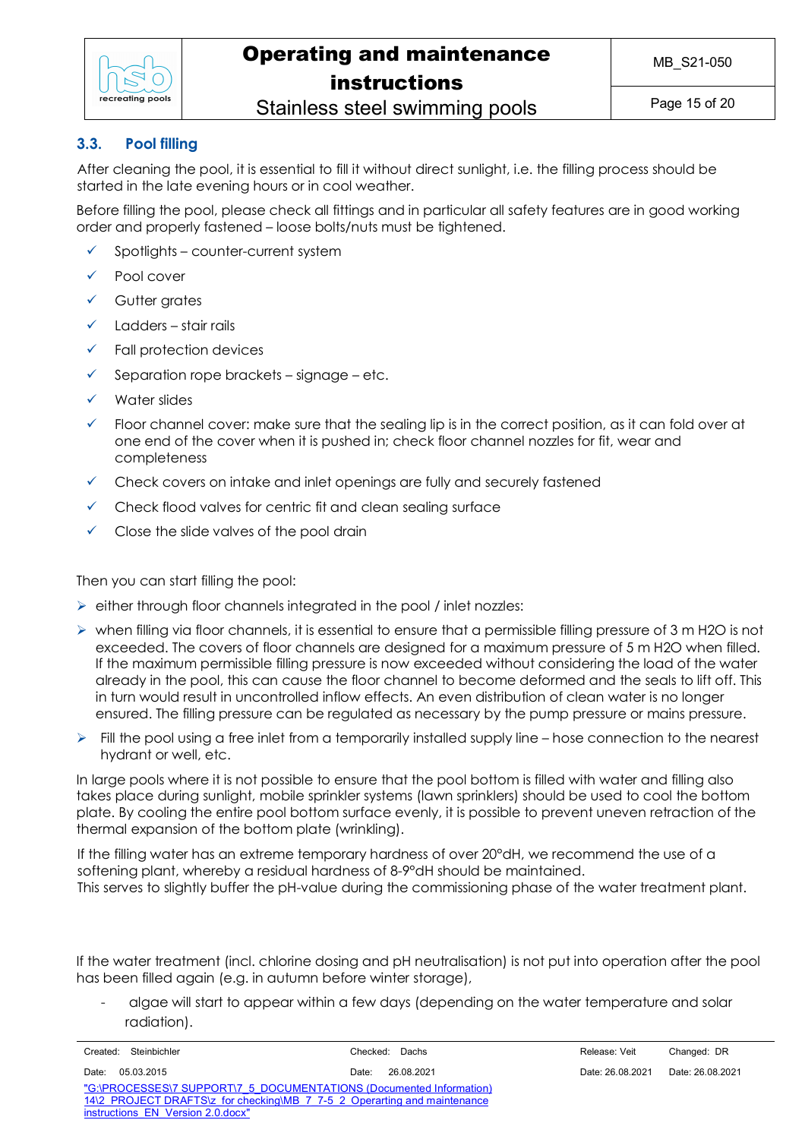

## Stainless steel swimming pools

### **3.3. Pool filling**

After cleaning the pool, it is essential to fill it without direct sunlight, i.e. the filling process should be started in the late evening hours or in cool weather.

Before filling the pool, please check all fittings and in particular all safety features are in good working order and properly fastened – loose bolts/nuts must be tightened.

- $\checkmark$  Spotlights counter-current system
- Pool cover
- Gutter grates
- $\checkmark$  Ladders stair rails
- ü Fall protection devices
- $\checkmark$  Separation rope brackets signage etc.
- Water slides
- Floor channel cover: make sure that the sealing lip is in the correct position, as it can fold over at one end of the cover when it is pushed in; check floor channel nozzles for fit, wear and completeness
- $\checkmark$  Check covers on intake and inlet openings are fully and securely fastened
- $\checkmark$  Check flood valves for centric fit and clean sealing surface
- Close the slide valves of the pool drain

Then you can start filling the pool:

- $\triangleright$  either through floor channels integrated in the pool / inlet nozzles:
- $\triangleright$  when filling via floor channels, it is essential to ensure that a permissible filling pressure of 3 m H2O is not exceeded. The covers of floor channels are designed for a maximum pressure of 5 m H2O when filled. If the maximum permissible filling pressure is now exceeded without considering the load of the water already in the pool, this can cause the floor channel to become deformed and the seals to lift off. This in turn would result in uncontrolled inflow effects. An even distribution of clean water is no longer ensured. The filling pressure can be regulated as necessary by the pump pressure or mains pressure.
- $\triangleright$  Fill the pool using a free inlet from a temporarily installed supply line hose connection to the nearest hydrant or well, etc.

In large pools where it is not possible to ensure that the pool bottom is filled with water and filling also takes place during sunlight, mobile sprinkler systems (lawn sprinklers) should be used to cool the bottom plate. By cooling the entire pool bottom surface evenly, it is possible to prevent uneven retraction of the thermal expansion of the bottom plate (wrinkling).

If the filling water has an extreme temporary hardness of over 20°dH, we recommend the use of a softening plant, whereby a residual hardness of 8-9°dH should be maintained. This serves to slightly buffer the pH-value during the commissioning phase of the water treatment plant.

If the water treatment (incl. chlorine dosing and pH neutralisation) is not put into operation after the pool has been filled again (e.g. in autumn before winter storage),

- algae will start to appear within a few days (depending on the water temperature and solar radiation).

|                                                                     | Created: Steinbichler                                                    | Checked: Dachs      | Release: Veit    | Changed: DR      |  |
|---------------------------------------------------------------------|--------------------------------------------------------------------------|---------------------|------------------|------------------|--|
| Date:                                                               | 05.03.2015                                                               | 26.08.2021<br>Date: | Date: 26.08.2021 | Date: 26.08.2021 |  |
| "G:\PROCESSES\7 SUPPORT\7 5 DOCUMENTATIONS (Documented Information) |                                                                          |                     |                  |                  |  |
|                                                                     | 14\2 PROJECT DRAFTS\z for checking\MB 7 7-5 2 Operarting and maintenance |                     |                  |                  |  |
|                                                                     | instructions EN Version 2.0.docx"                                        |                     |                  |                  |  |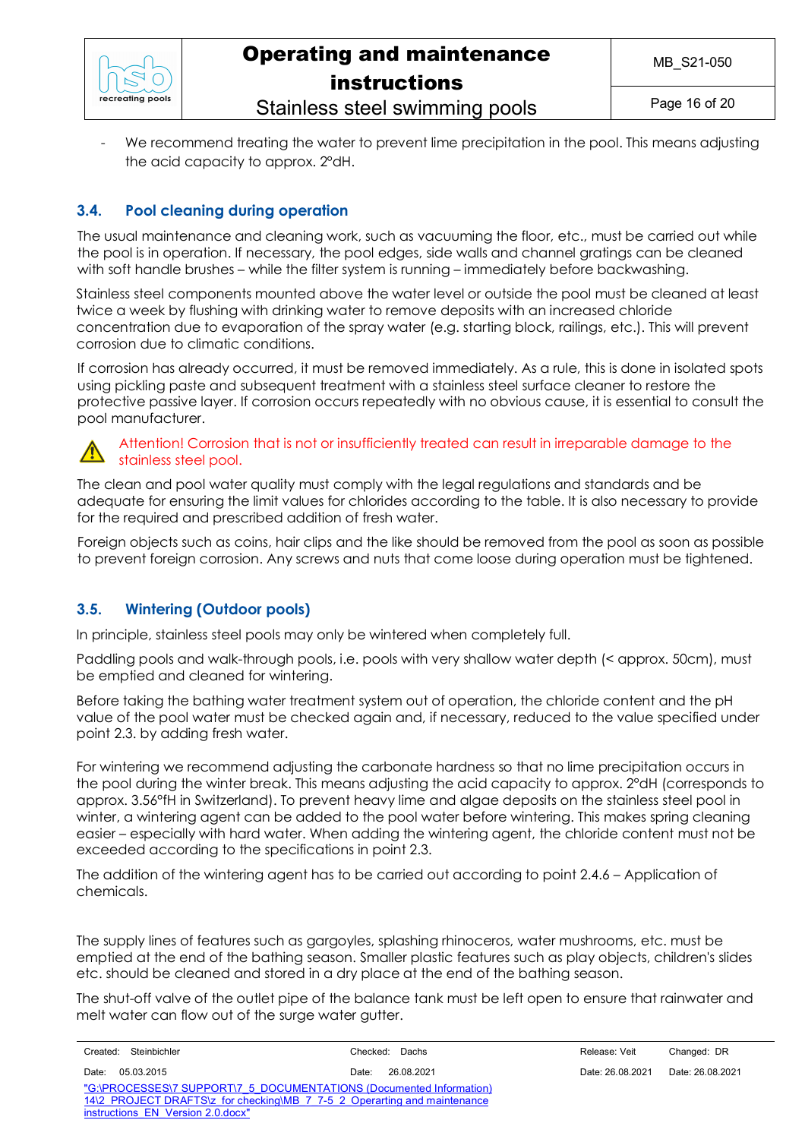

## Operating and maintenance instructions Stainless steel swimming pools

We recommend treating the water to prevent lime precipitation in the pool. This means adjusting the acid capacity to approx. 2°dH.

### **3.4. Pool cleaning during operation**

The usual maintenance and cleaning work, such as vacuuming the floor, etc., must be carried out while the pool is in operation. If necessary, the pool edges, side walls and channel gratings can be cleaned with soft handle brushes – while the filter system is running – immediately before backwashing.

Stainless steel components mounted above the water level or outside the pool must be cleaned at least twice a week by flushing with drinking water to remove deposits with an increased chloride concentration due to evaporation of the spray water (e.g. starting block, railings, etc.). This will prevent corrosion due to climatic conditions.

If corrosion has already occurred, it must be removed immediately. As a rule, this is done in isolated spots using pickling paste and subsequent treatment with a stainless steel surface cleaner to restore the protective passive layer. If corrosion occurs repeatedly with no obvious cause, it is essential to consult the pool manufacturer.



### Attention! Corrosion that is not or insufficiently treated can result in irreparable damage to the stainless steel pool.

The clean and pool water quality must comply with the legal regulations and standards and be adequate for ensuring the limit values for chlorides according to the table. It is also necessary to provide for the required and prescribed addition of fresh water.

Foreign objects such as coins, hair clips and the like should be removed from the pool as soon as possible to prevent foreign corrosion. Any screws and nuts that come loose during operation must be tightened.

### **3.5. Wintering (Outdoor pools)**

In principle, stainless steel pools may only be wintered when completely full.

Paddling pools and walk-through pools, i.e. pools with very shallow water depth (< approx. 50cm), must be emptied and cleaned for wintering.

Before taking the bathing water treatment system out of operation, the chloride content and the pH value of the pool water must be checked again and, if necessary, reduced to the value specified under point 2.3. by adding fresh water.

For wintering we recommend adjusting the carbonate hardness so that no lime precipitation occurs in the pool during the winter break. This means adjusting the acid capacity to approx. 2°dH (corresponds to approx. 3.56°fH in Switzerland). To prevent heavy lime and algae deposits on the stainless steel pool in winter, a wintering agent can be added to the pool water before wintering. This makes spring cleaning easier – especially with hard water. When adding the wintering agent, the chloride content must not be exceeded according to the specifications in point 2.3.

The addition of the wintering agent has to be carried out according to point 2.4.6 – Application of chemicals.

The supply lines of features such as gargoyles, splashing rhinoceros, water mushrooms, etc. must be emptied at the end of the bathing season. Smaller plastic features such as play objects, children's slides etc. should be cleaned and stored in a dry place at the end of the bathing season.

The shut-off valve of the outlet pipe of the balance tank must be left open to ensure that rainwater and melt water can flow out of the surge water gutter.

| Steinbichler<br>Created:                                                 | Checked: Dachs      | Release: Veit    | Changed: DR      |
|--------------------------------------------------------------------------|---------------------|------------------|------------------|
| 05.03.2015<br>Date:                                                      | 26.08.2021<br>Date: | Date: 26.08.2021 | Date: 26.08.2021 |
| "G:\PROCESSES\7 SUPPORT\7 5 DOCUMENTATIONS (Documented Information)      |                     |                  |                  |
| 14\2 PROJECT DRAFTS\z for checking\MB 7 7-5 2 Operarting and maintenance |                     |                  |                  |
| instructions EN Version 2.0.docx"                                        |                     |                  |                  |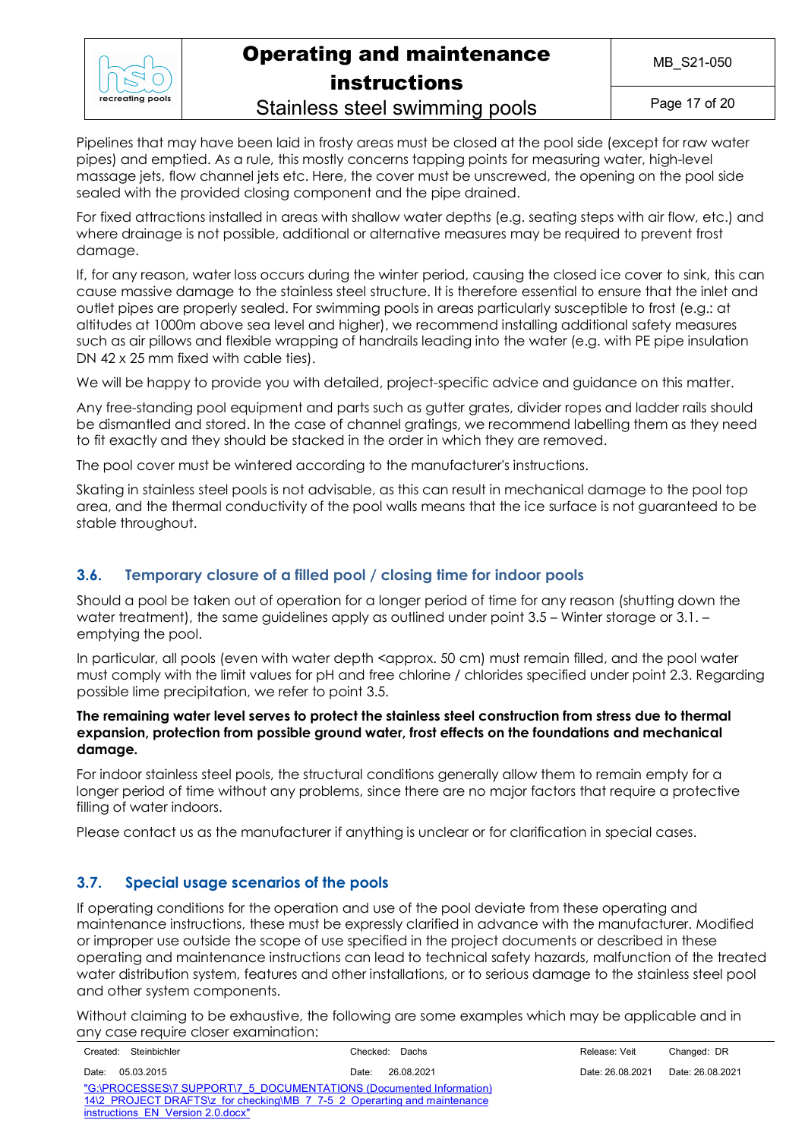

Stainless steel swimming pools

Page 17 of 20

Pipelines that may have been laid in frosty areas must be closed at the pool side (except for raw water pipes) and emptied. As a rule, this mostly concerns tapping points for measuring water, high-level massage jets, flow channel jets etc. Here, the cover must be unscrewed, the opening on the pool side sealed with the provided closing component and the pipe drained.

For fixed attractions installed in areas with shallow water depths (e.g. seating steps with air flow, etc.) and where drainage is not possible, additional or alternative measures may be required to prevent frost damage.

If, for any reason, water loss occurs during the winter period, causing the closed ice cover to sink, this can cause massive damage to the stainless steel structure. It is therefore essential to ensure that the inlet and outlet pipes are properly sealed. For swimming pools in areas particularly susceptible to frost (e.g.: at altitudes at 1000m above sea level and higher), we recommend installing additional safety measures such as air pillows and flexible wrapping of handrails leading into the water (e.g. with PE pipe insulation DN 42 x 25 mm fixed with cable ties).

We will be happy to provide you with detailed, project-specific advice and quidance on this matter.

Any free-standing pool equipment and parts such as gutter grates, divider ropes and ladder rails should be dismantled and stored. In the case of channel gratings, we recommend labelling them as they need to fit exactly and they should be stacked in the order in which they are removed.

The pool cover must be wintered according to the manufacturer's instructions.

Skating in stainless steel pools is not advisable, as this can result in mechanical damage to the pool top area, and the thermal conductivity of the pool walls means that the ice surface is not guaranteed to be stable throughout.

### **3.6. Temporary closure of a filled pool / closing time for indoor pools**

Should a pool be taken out of operation for a longer period of time for any reason (shutting down the water treatment), the same quidelines apply as outlined under point 3.5 – Winter storage or 3.1. – emptying the pool.

In particular, all pools (even with water depth <approx. 50 cm) must remain filled, and the pool water must comply with the limit values for pH and free chlorine / chlorides specified under point 2.3. Regarding possible lime precipitation, we refer to point 3.5.

#### **The remaining water level serves to protect the stainless steel construction from stress due to thermal expansion, protection from possible ground water, frost effects on the foundations and mechanical damage.**

For indoor stainless steel pools, the structural conditions generally allow them to remain empty for a longer period of time without any problems, since there are no major factors that require a protective filling of water indoors.

Please contact us as the manufacturer if anything is unclear or for clarification in special cases.

### **3.7. Special usage scenarios of the pools**

If operating conditions for the operation and use of the pool deviate from these operating and maintenance instructions, these must be expressly clarified in advance with the manufacturer. Modified or improper use outside the scope of use specified in the project documents or described in these operating and maintenance instructions can lead to technical safety hazards, malfunction of the treated water distribution system, features and other installations, or to serious damage to the stainless steel pool and other system components.

Without claiming to be exhaustive, the following are some examples which may be applicable and in any case require closer examination:

| Created: Steinbichler                                                    | Checked: Dachs      | Release: Veit    | Changed: DR      |
|--------------------------------------------------------------------------|---------------------|------------------|------------------|
| 05.03.2015<br>Date:                                                      | 26.08.2021<br>Date: | Date: 26.08.2021 | Date: 26.08.2021 |
| "G:\PROCESSES\7 SUPPORT\7 5 DOCUMENTATIONS (Documented Information)      |                     |                  |                  |
| 14\2 PROJECT DRAFTS\z for checking\MB 7 7-5 2 Operarting and maintenance |                     |                  |                  |
| instructions EN Version 2.0.docx"                                        |                     |                  |                  |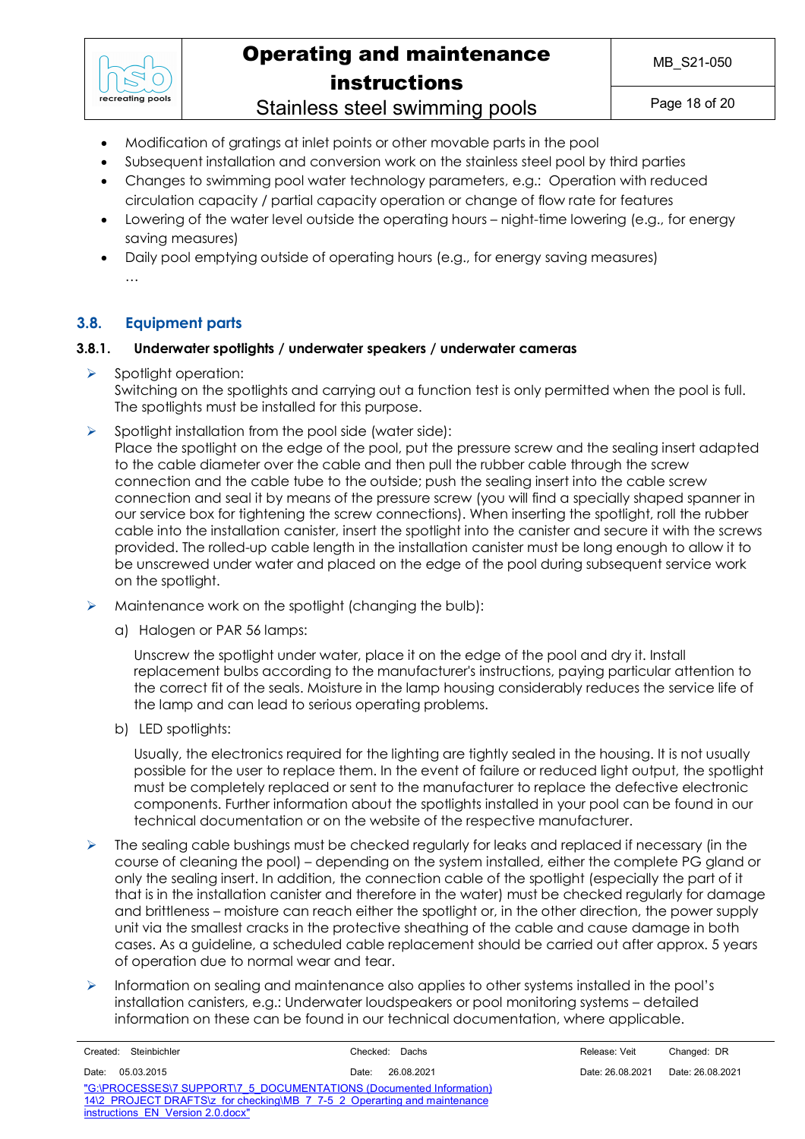

## Operating and maintenance instructions Stainless steel swimming pools

Page 18 of 20

- Modification of gratings at inlet points or other movable parts in the pool
- Subsequent installation and conversion work on the stainless steel pool by third parties
- Changes to swimming pool water technology parameters, e.g.: Operation with reduced circulation capacity / partial capacity operation or change of flow rate for features
- Lowering of the water level outside the operating hours night-time lowering (e.g., for energy saving measures)
- Daily pool emptying outside of operating hours (e.g., for energy saving measures) …

### **3.8. Equipment parts**

### **3.8.1. Underwater spotlights / underwater speakers / underwater cameras**

 $\triangleright$  Spotlight operation:

Switching on the spotlights and carrying out a function test is only permitted when the pool is full. The spotlights must be installed for this purpose.

 $\triangleright$  Spotlight installation from the pool side (water side):

Place the spotlight on the edge of the pool, put the pressure screw and the sealing insert adapted to the cable diameter over the cable and then pull the rubber cable through the screw connection and the cable tube to the outside; push the sealing insert into the cable screw connection and seal it by means of the pressure screw (you will find a specially shaped spanner in our service box for tightening the screw connections). When inserting the spotlight, roll the rubber cable into the installation canister, insert the spotlight into the canister and secure it with the screws provided. The rolled-up cable length in the installation canister must be long enough to allow it to be unscrewed under water and placed on the edge of the pool during subsequent service work on the spotlight.

- $\triangleright$  Maintenance work on the spotlight (changing the bulb):
	- a) Halogen or PAR 56 lamps:

Unscrew the spotlight under water, place it on the edge of the pool and dry it. Install replacement bulbs according to the manufacturer's instructions, paying particular attention to the correct fit of the seals. Moisture in the lamp housing considerably reduces the service life of the lamp and can lead to serious operating problems.

b) LED spotlights:

Usually, the electronics required for the lighting are tightly sealed in the housing. It is not usually possible for the user to replace them. In the event of failure or reduced light output, the spotlight must be completely replaced or sent to the manufacturer to replace the defective electronic components. Further information about the spotlights installed in your pool can be found in our technical documentation or on the website of the respective manufacturer.

- $\triangleright$  The sealing cable bushings must be checked regularly for leaks and replaced if necessary (in the course of cleaning the pool) – depending on the system installed, either the complete PG gland or only the sealing insert. In addition, the connection cable of the spotlight (especially the part of it that is in the installation canister and therefore in the water) must be checked regularly for damage and brittleness – moisture can reach either the spotlight or, in the other direction, the power supply unit via the smallest cracks in the protective sheathing of the cable and cause damage in both cases. As a guideline, a scheduled cable replacement should be carried out after approx. 5 years of operation due to normal wear and tear.
- $\triangleright$  Information on sealing and maintenance also applies to other systems installed in the pool's installation canisters, e.g.: Underwater loudspeakers or pool monitoring systems – detailed information on these can be found in our technical documentation, where applicable.

| Created: Steinbichler                                                    | Checked: Dachs      | Release: Veit    | Changed: DR      |  |
|--------------------------------------------------------------------------|---------------------|------------------|------------------|--|
| Date: 05.03.2015                                                         | 26.08.2021<br>Date: | Date: 26.08.2021 | Date: 26.08.2021 |  |
| "G:\PROCESSES\7 SUPPORT\7 5 DOCUMENTATIONS (Documented Information)      |                     |                  |                  |  |
| 14\2 PROJECT DRAFTS\z for checking\MB 7 7-5 2 Operarting and maintenance |                     |                  |                  |  |
| instructions EN Version 2.0.docx"                                        |                     |                  |                  |  |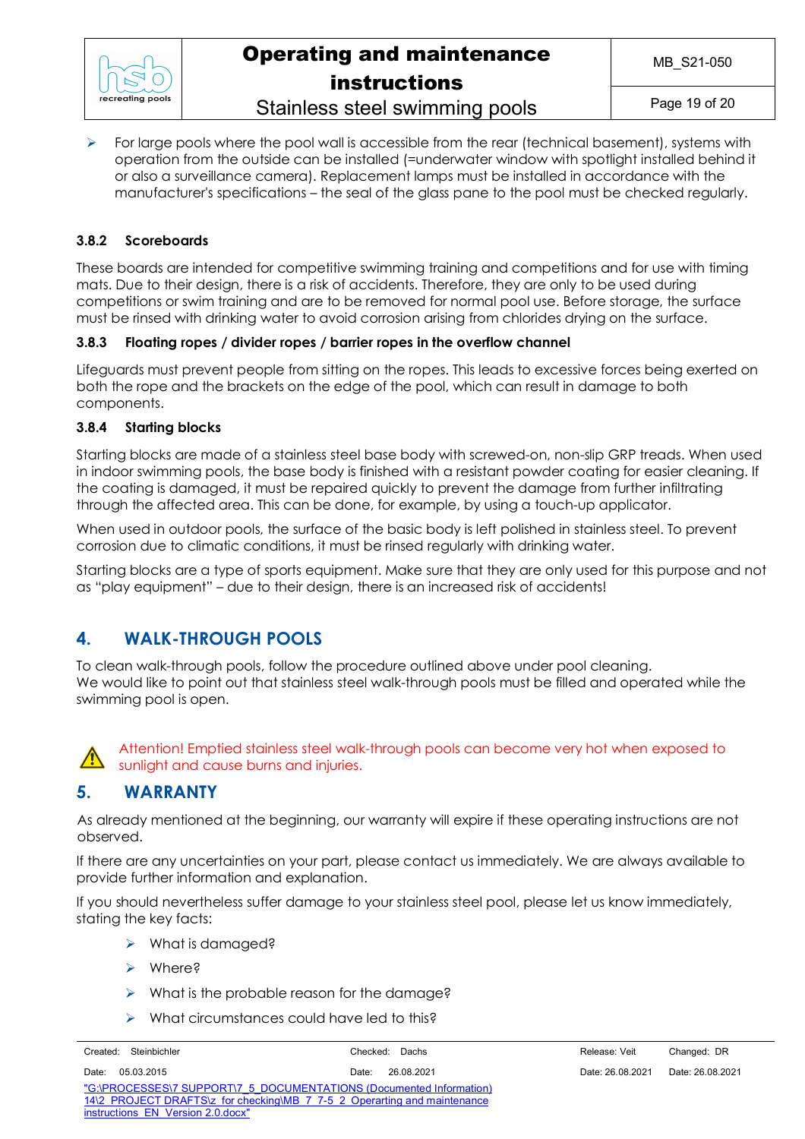

## Operating and maintenance instructions Stainless steel swimming pools

### $\triangleright$  For large pools where the pool wall is accessible from the rear (technical basement), systems with operation from the outside can be installed (=underwater window with spotlight installed behind it or also a surveillance camera). Replacement lamps must be installed in accordance with the manufacturer's specifications – the seal of the glass pane to the pool must be checked regularly.

### **3.8.2 Scoreboards**

These boards are intended for competitive swimming training and competitions and for use with timing mats. Due to their design, there is a risk of accidents. Therefore, they are only to be used during competitions or swim training and are to be removed for normal pool use. Before storage, the surface must be rinsed with drinking water to avoid corrosion arising from chlorides drying on the surface.

### **3.8.3 Floating ropes / divider ropes / barrier ropes in the overflow channel**

Lifeguards must prevent people from sitting on the ropes. This leads to excessive forces being exerted on both the rope and the brackets on the edge of the pool, which can result in damage to both components.

### **3.8.4 Starting blocks**

Starting blocks are made of a stainless steel base body with screwed-on, non-slip GRP treads. When used in indoor swimming pools, the base body is finished with a resistant powder coating for easier cleaning. If the coating is damaged, it must be repaired quickly to prevent the damage from further infiltrating through the affected area. This can be done, for example, by using a touch-up applicator.

When used in outdoor pools, the surface of the basic body is left polished in stainless steel. To prevent corrosion due to climatic conditions, it must be rinsed regularly with drinking water.

Starting blocks are a type of sports equipment. Make sure that they are only used for this purpose and not as "play equipment" – due to their design, there is an increased risk of accidents!

## **4. WALK-THROUGH POOLS**

To clean walk-through pools, follow the procedure outlined above under pool cleaning. We would like to point out that stainless steel walk-through pools must be filled and operated while the swimming pool is open.



Attention! Emptied stainless steel walk-through pools can become very hot when exposed to sunlight and cause burns and injuries.

### **5. WARRANTY**

As already mentioned at the beginning, our warranty will expire if these operating instructions are not observed.

If there are any uncertainties on your part, please contact us immediately. We are always available to provide further information and explanation.

If you should nevertheless suffer damage to your stainless steel pool, please let us know immediately, stating the key facts:

- $\triangleright$  What is damaged?
- Ø Where?
- $\triangleright$  What is the probable reason for the damage?
- $\triangleright$  What circumstances could have led to this?

|       | Created: Steinbichler                                                    |       | Checked: Dachs | Release: Veit    | Changed: DR      |
|-------|--------------------------------------------------------------------------|-------|----------------|------------------|------------------|
| Date: | 05.03.2015                                                               | Date: | 26.08.2021     | Date: 26.08.2021 | Date: 26.08.2021 |
|       | "G:\PROCESSES\7 SUPPORT\7 5 DOCUMENTATIONS (Documented Information)      |       |                |                  |                  |
|       | 14\2 PROJECT DRAFTS\z for checking\MB 7 7-5 2 Operarting and maintenance |       |                |                  |                  |
|       | instructions EN Version 2.0.docx"                                        |       |                |                  |                  |